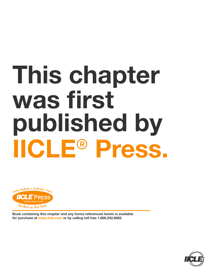# **This chapter was first published by IICLE**® **Press.**



**Book containing this chapter and any forms referenced herein is available for purchase at www.iicle.com or by calling toll free 1.800.252.8062**

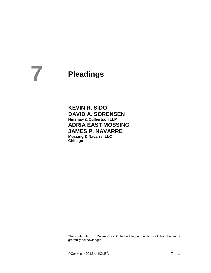# **Pleadings 7**

**KEVIN R. SIDO DAVID A. SORENSEN Hinshaw & Culbertson LLP ADRIA EAST MOSSING JAMES P. NAVARRE Mossing & Navarre, LLC Chicago**

The contribution of Renee Choy Ohlendorf to prior editions of this chapter is gratefully acknowledged.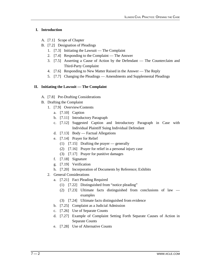# **I. Introduction**

- A. [7.1] Scope of Chapter
- B. [7.2] Designation of Pleadings
	- 1. [7.3] Initiating the Lawsuit The Complaint
	- 2. [7.4] Responding to the Complaint The Answer
	- 3. [7.5] Asserting a Cause of Action by the Defendant The Counterclaim and Third-Party Complaint
	- 4. [7.6] Responding to New Matter Raised in the Answer The Reply
	- 5. [7.7] Changing the Pleadings Amendments and Supplemental Pleadings

# **II. Initiating the Lawsuit — The Complaint**

- A. [7.8] Pre-Drafting Considerations
- B. Drafting the Complaint
	- 1. [7.9] Overview/Contents
		- a. [7.10] Caption
		- b. [7.11] Introductory Paragraph
		- c. [7.12] Suggested Caption and Introductory Paragraph in Case with Individual Plaintiff Suing Individual Defendant
		- d. [7.13] Body Factual Allegations
		- e. [7.14] Prayer for Relief
			- (1) [7.15] Drafting the prayer generally
			- (2) [7.16] Prayer for relief in a personal injury case
			- (3) [7.17] Prayer for punitive damages
		- f. [7.18] Signature
		- g. [7.19] Verification
		- h. [7.20] Incorporation of Documents by Reference; Exhibits
	- 2. General Considerations
		- a. [7.21] Fact Pleading Required
			- (1) [7.22] Distinguished from "notice pleading"
			- (2) [7.23] Ultimate facts distinguished from conclusions of law examples
			- (3) [7.24] Ultimate facts distinguished from evidence
		- b. [7.25] Complaint as a Judicial Admission
		- c. [7.26] Use of Separate Counts
		- d. [7.27] Example of Complaint Setting Forth Separate Causes of Action in Separate Counts
		- e. [7.28] Use of Alternative Counts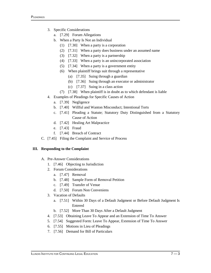- 3. Specific Considerations
	- a. [7.29] Forum Allegations
	- b. When a Party Is Not an Individual
		- (1) [7.30] When a party is a corporation
		- (2) [7.31] When a party does business under an assumed name
		- (3) [7.32] When a party is a partnership
		- (4) [7.33] When a party is an unincorporated association
		- (5) [7.34] When a party is a government entity
		- (6) When plaintiff brings suit through a representative
			- (a) [7.35] Suing through a guardian
			- (b) [7.36] Suing through an executor or administrator
			- (c) [7.37] Suing in a class action
		- (7) [7.38] When plaintiff is in doubt as to which defendant is liable
- 4. Examples of Pleadings for Specific Causes of Action
	- a. [7.39] Negligence
	- b. [7.40] Willful and Wanton Misconduct; Intentional Torts
	- c. [7.41] Pleading a Statute; Statutory Duty Distinguished from a Statutory Cause of Action
	- d. [7.42] Healing Art Malpractice
	- e. [7.43] Fraud
	- f. [7.44] Breach of Contract
- C. [7.45] Filing the Complaint and Service of Process

# **III. Responding to the Complaint**

- A. Pre-Answer Considerations
	- 1. [7.46] Objecting to Jurisdiction
	- 2. Forum Considerations
		- a. [7.47] Removal
		- b. [7.48] Sample Form of Removal Petition
		- c. [7.49] Transfer of Venue
		- d. [7.50] Forum Non Conveniens
	- 3. Vacation of Defaults
		- a. [7.51] Within 30 Days of a Default Judgment or Before Default Judgment Is Entered
		- b. [7.52] More Than 30 Days After a Default Judgment
	- 4. [7.53] Obtaining Leave To Appear and an Extension of Time To Answer
	- 5. [7.54] Suggested Form: Leave To Appear, Extension of Time To Answer
	- 6. [7.55] Motions in Lieu of Pleadings
	- 7. [7.56] Demand for Bill of Particulars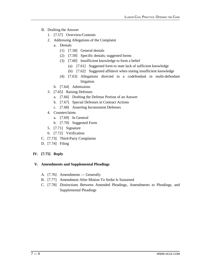- B. Drafting the Answer
	- 1. [7.57] Overview/Contents
	- 2. Addressing Allegations of the Complaint
		- a. Denials
			- (1) [7.58] General denials
			- (2) [7.59] Specific denials; suggested forms
			- (3) [7.60] Insufficient knowledge to form a belief
				- (a) [7.61] Suggested form to state lack of sufficient knowledge
				- (b) [7.62] Suggested affidavit when stating insufficient knowledge
			- (4) [7.63] Allegations directed to a codefendant in multi-defendant litigation
		- b. [7.64] Admissions
	- 3. [7.65] Raising Defenses
		- a. [7.66] Drafting the Defense Portion of an Answer
		- b. [7.67] Special Defenses in Contract Actions
		- c. [7.68] Asserting Inconsistent Defenses
	- 4. Counterclaims
		- a. [7.69] In General
		- b. [7.70] Suggested Form
	- 5. [7.71] Signature
	- 6. [7.72] Verification
- C. [7.73] Third-Party Complaints
- D. [7.74] Filing

# **IV. [7.75] Reply**

# **V. Amendments and Supplemental Pleadings**

- A. [7.76] Amendments Generally
- B. [7.77] Amendment After Motion To Strike Is Sustained
- C. [7.78] Distinctions Between Amended Pleadings, Amendments to Pleadings, and Supplemental Pleadings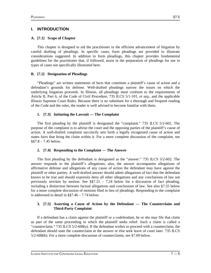# **I. INTRODUCTION**

# **A. [7.1] Scope of Chapter**

This chapter is designed to aid the practitioner in the efficient advancement of litigation by careful drafting of pleadings. In specific cases, form pleadings are provided to illustrate considerations suggested. In addition to form pleadings, this chapter provides fundamental guidelines for the practitioner that, if followed, assist in the preparation of pleadings for use in types of cases not specifically illustrated here.

# **B. [7.2] Designation of Pleadings**

"Pleadings" are written statements of facts that constitute a plaintiff's cause of action and a defendant's grounds for defense. Well-drafted pleadings narrow the issues on which the underlying litigation proceeds. In Illinois, all pleadings must conform to the requirements of Article II, Part 6, of the Code of Civil Procedure, 735 ILCS 5/1-101, *et seq.,* and the applicable Illinois Supreme Court Rules. Because there is no substitute for a thorough and frequent reading of the Code and the rules, the reader is well advised to become familiar with them.

# **1. [7.3] Initiating the Lawsuit — The Complaint**

The first pleading by the plaintiff is designated the "complaint." 735 ILCS 5/2-602. The purpose of the complaint is to advise the court and the opposing parties of the plaintiff's cause of action. A well-drafted complaint succinctly sets forth a legally recognized cause of action and states facts that bring the claim within it. For a more complete discussion of the complaint, see  $§$ §7.8 – 7.45 below.

# **2. [7.4] Responding to the Complaint — The Answer**

The first pleading by the defendant is designated as the "answer." 735 ILCS 5/2-602. The answer responds to the plaintiff's allegations; also, the answer accompanies allegations of affirmative defense and allegations of any cause of action the defendant may have against the plaintiff or other parties. A well-drafted answer should admit allegations of fact that the defendant knows to be true and should expressly deny all other allegations and any conclusions of law not previously stricken by motion. See  $\S$ §7.21 – 7.24 below for a discussion of fact pleading, including a distinction between factual allegations and conclusions of law. See also §7.55 below for a more complete discussion of motions filed in lieu of pleadings. Responding to the complaint is addressed in detail in §§7.46 – 7.74 below.

# **3. [7.5] Asserting a Cause of Action by the Defendant — The Counterclaim and Third-Party Complaint**

If a defendant has a claim against the plaintiff or a codefendant, he or she may file that claim as part of the same proceeding in which the plaintiff seeks relief. Such a claim is called a "counterclaim." 735 ILCS 5/2-608(a). If the defendant wishes to proceed with a counterclaim, the defendant should state the counterclaim in the answer or else seek leave of court later. 735 ILCS 5/2-608(b). For a more complete discussion of counterclaims, see §7.69 below.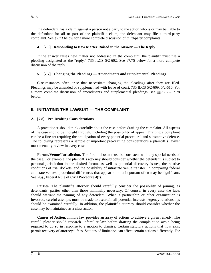If a defendant has a claim against a person not a party to the action who is or may be liable to the defendant for all or part of the plaintiff's claim, the defendant may file a third-party complaint. See §7.73 below for a more complete discussion of third-party complaints.

# **4. [7.6] Responding to New Matter Raised in the Answer — The Reply**

If the answer raises new matter not addressed in the complaint, the plaintiff must file a pleading designated as the "reply." 735 ILCS 5/2-602. See §7.75 below for a more complete discussion of the reply.

# **5. [7.7] Changing the Pleadings — Amendments and Supplemental Pleadings**

Circumstances often arise that necessitate changing the pleadings after they are filed. Pleadings may be amended or supplemented with leave of court. 735 ILCS 5/2-609, 5/2-616. For a more complete discussion of amendments and supplemental pleadings, see  $\S$  $7.76 - 7.78$ below.

# **II. INITIATING THE LAWSUIT — THE COMPLAINT**

### **A. [7.8] Pre-Drafting Considerations**

A practitioner should think carefully about the case before drafting the complaint. All aspects of the case should be thought through, including the possibility of appeal. Drafting a complaint can be a fine art requiring the anticipation of every potential procedural and substantive defense. The following represents a sample of important pre-drafting considerations a plaintiff's lawyer must mentally review in every case:

**Forum/Venue/Jurisdiction.** The forum chosen must be consistent with any special needs of the case. For example, the plaintiff's attorney should consider whether the defendant is subject to personal jurisdiction in the desired forum, as well as potential discovery issues, the relative conditions of trial dockets, and the possibility of intrastate venue transfer. In comparing federal and state venues, procedural differences that appear to be unimportant often may be significant. See, *e.g.,* Federal Rule of Civil Procedure 4(f).

**Parties.** The plaintiff's attorney should carefully consider the possibility of joining, as defendants, parties other than those minimally necessary. Of course, in every case the facts should warrant the naming of any defendant. When a partnership or other organization is involved, careful attempts must be made to ascertain all potential interests. Agency relationships should be examined carefully. In addition, the plaintiff's attorney should consider whether the case may be maintained as a class action.

**Causes of Action.** Illinois law provides an array of actions to achieve a given remedy. The careful pleader should research unfamiliar law before drafting the complaint to avoid being required to do so in response to a motion to dismiss. Certain statutory actions that now exist permit recovery of attorneys' fees. Statutes of limitation can affect certain actions differently. For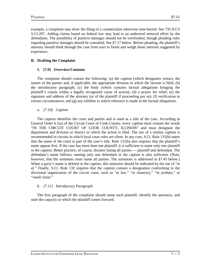example, a complaint may draw the filing of a counterclaim otherwise time-barred. See 735 ILCS 5/13-207. Adding claims based on federal law may lead to an undesired removal effort by the defendants. The possibility of punitive damages should not be overlooked, though pleading rules regarding punitive damages should be consulted. See §7.17 below. Before pleading, the plaintiff's attorney should think through the case from start to finish and weigh those interests suggested by experience.

# **B. Drafting the Complaint**

# **1. [7.9] Overview/Contents**

The complaint should contain the following: (a) the caption (which designates venue), the names of the parties and, if applicable, the appropriate division in which the lawsuit is filed; (b) the introductory paragraph; (c) the body (which contains factual allegations bringing the plaintiff's claims within a legally recognized cause of action); (d) a prayer for relief; (e) the signature and address of the attorney (or of the plaintiff if proceeding pro se); (f) verification in certain circumstances; and (g) any exhibits to which reference is made in the factual allegations.

# *a. [7.10] Caption*

The caption identifies the court and parties and is used as a title of the case. According to General Order 6.1(a) of the Circuit Court of Cook County, every caption must contain the words "IN THE CIRCUIT COURT OF COOK COUNTY, ILLINOIS" and must designate the department and division or district in which the action is filed. The use of a similar caption is recommended in circuits in which local court rules are silent. In any case, S.Ct. Rule 131(b) states that the name of the court is part of the case's title. Rule 131(b) also requires that the plaintiff's name appear first. If the case has more than one plaintiff, it is sufficient to name only one plaintiff in the caption. Better practice, of course, dictates listing all parties — plaintiff and defendant. The defendant's name follows; naming only one defendant in the caption is also sufficient. (Note, however, that the summons must name all parties. The summons is addressed in §7.45 below.) When a party's name is deleted in the caption, this omission should be indicated by the use of "et al." Finally, S.Ct. Rule 132 requires that the caption contain a designation conforming to the divisional organization of the circuit court, such as "at law," "in chancery," "in probate," or "small claim."

# *b. [7.11] Introductory Paragraph*

The first paragraph of the complaint should name each plaintiff, identify the attorneys, and state the capacity in which the plaintiff comes forward.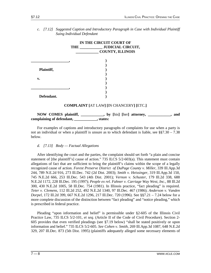|            | IN THE CIRCUIT COURT OF<br><b>COUNTY, ILLINOIS</b> |
|------------|----------------------------------------------------|
|            |                                                    |
|            |                                                    |
| Plaintiff, |                                                    |
|            |                                                    |
| v.         |                                                    |
|            |                                                    |
|            |                                                    |
|            |                                                    |
| Defendant. |                                                    |
|            | COMPLAINT LAT LAWLIIN CHANCERYLIETC                |

*c. [7.12] Suggested Caption and Introductory Paragraph in Case with Individual Plaintiff Suing Individual Defendant*

# **COMPLAINT [**AT LAW**] [**IN CHANCERY**] [**ETC.**]**

# **NOW COMES plaintiff, \_\_\_\_\_\_\_\_\_\_\_\_, by [**his**] [**her**] attorney, \_\_\_\_\_\_\_\_\_\_\_\_, and complaining of defendant, \_\_\_\_\_\_\_\_\_\_\_\_, states:**

For examples of captions and introductory paragraphs of complaints for use when a party is not an individual or when a plaintiff is unsure as to which defendant is liable, see  $\S$ \$7.30 – 7.38 below.

# *d. [7.13] Body — Factual Allegations*

After identifying the court and the parties, the complaint should set forth "a plain and concise statement of [the plaintiff's] cause of action." 735 ILCS 5/2-603(a). This statement must contain allegations of fact that are sufficient to bring the plaintiff's claims within the scope of a legally recognized cause of action. *Forest Preserve District of DuPage County v. Miller,* 339 Ill.App.3d 244, 789 N.E.2d 916, 273 Ill.Dec. 742 (2d Dist. 2003); *Smith v. Heissinger,* 319 Ill.App.3d 150, 745 N.E.2d 666, 253 Ill.Dec. 543 (4th Dist. 2001); *Vernon v. Schuster,* 179 Ill.2d 338, 688 N.E.2d 1172, 228 Ill.Dec. 195 (1997); *People ex rel. Fahner v. Carriage Way West, Inc.,* 88 Ill.2d 300, 430 N.E.2d 1005, 58 Ill.Dec. 754 (1981). In Illinois practice, "fact pleading" is required. *Teter v. Clemens,* 112 Ill.2d 252, 492 N.E.2d 1340, 97 Ill.Dec. 467 (1986); *Anderson v. Vanden Dorpel,* 172 Ill.2d 399, 667 N.E.2d 1296, 217 Ill.Dec. 720 (1996). See §§7.21 – 7.24 below for a more complete discussion of the distinction between "fact pleading" and "notice pleading," which is prescribed in federal practice.

Pleading "upon information and belief" is permissible under §2-605 of the Illinois Civil Practice Law, 735 ILCS 5/2-101, *et seq.* (Article II of the Code of Civil Procedure). Section 2- 605 provides that even verified pleadings (see §7.19 below) "shall be stated positively or upon information and belief." 735 ILCS 5/2-605. *See Cohen v. Smith,* 269 Ill.App.3d 1087, 648 N.E.2d 329, 207 Ill.Dec. 873 (5th Dist. 1995) (plaintiffs adequately alleged some necessary elements of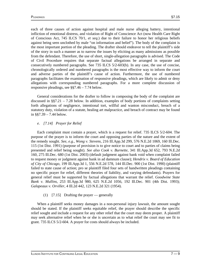eric products and the set of the set of the set of the set of the set of the set of the set of the set of the s

each of three causes of action against hospital and male nurse alleging battery, intentional infliction of emotional distress, and violation of Right of Conscience Act (now Health Care Right of Conscious Act, 745 ILCS 70/1, *et seq.*) due to their failure to honor her religious beliefs against being seen unclothed by male "on information and belief"). The body of the complaint is the most important portion of the pleading. The drafter should endeavor to tell the plaintiff's side of the story in such a manner as to narrow the issues by eliciting as many admissions as possible from the defendant. Therefore, the use of short, single-allegation paragraphs is advised. The Code of Civil Procedure requires that separate factual allegations be arranged in separate and consecutively numbered paragraphs. See 735 ILCS 5/2-603(b). In any case, the use of concise, chronologically ordered and numbered paragraphs is the most effective way to inform the court and adverse parties of the plaintiff's cause of action. Furthermore, the use of numbered paragraphs facilitates the examination of responsive pleadings, which are likely to admit or deny allegations with corresponding numbered paragraphs. For a more complete discussion of responsive pleadings, see §§7.46 – 7.74 below.

General considerations for the drafter to follow in composing the body of the complaint are discussed in  $\S$ §7.21 – 7.28 below. In addition, examples of body portions of complaints setting forth allegations of negligence, intentional tort, willful and wanton misconduct, breach of a statutory duty, violation of a statute, healing art malpractice, and breach of contract may be found in §§7.39 – 7.44 below.

# *e. [7.14] Prayer for Relief*

Each complaint must contain a prayer, which is a request for relief. 735 ILCS 5/2-604. The purpose of the prayer is to inform the court and opposing parties of the nature and the extent of the remedy sought. *See, e.g., Wong v. Stevens,* 216 Ill.App.3d 299, 576 N.E.2d 1069, 160 Ill.Dec. 115 (1st Dist. 1991) (purpose of provision is to give notice to court and to parties of claims being presented and relief being sought). *See also Cook v. Burnette,* 341 Ill.App.3d 652, 793 N.E.2d 160, 275 Ill.Dec. 680 (1st Dist. 2003) (default judgment against bank void when complaint failed to request money or judgment against bank in ad damnum clause); *Hendrix v. Board of Education of City of Chicago,* 199 Ill.App.3d 1, 556 N.E.2d 578, 144 Ill.Dec. 900 (1st Dist. 1990) (plaintiff failed to state cause of action; pro se plaintiff filed four sets of handwritten pleadings containing no specific prayer for relief, different theories of liability, and varying defendants). Prayers for general relief must be supported by factual allegations that warrant the relief. *Goodwine State Bank v. Mullins,* 253 Ill.App.3d 980, 625 N.E.2d 1056, 192 Ill.Dec. 901 (4th Dist. 1993); *Galapeaux v. Orviller,* 4 Ill.2d 442, 123 N.E.2d 321 (1954).

# (1) [7.15] Drafting the prayer — generally

When a plaintiff seeks money damages in a non-personal injury lawsuit, the amount sought should be stated. If the plaintiff seeks equitable relief, the prayer should describe the specific relief sought and include a request for any other relief that the court may deem proper. A plaintiff may seek alternative relief when he or she is uncertain as to what relief the court may see fit to grant. 735 ILCS 5/2-604. A prayer for costs should always be included.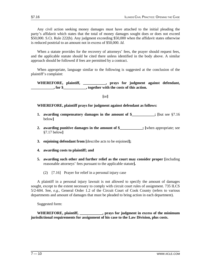Any civil action seeking money damages must have attached to the initial pleading the party's affidavit which states that the total of money damages sought does or does not exceed \$50,000. S.Ct. Rule 222(b). Any judgment exceeding \$50,000 when the affidavit states otherwise is reduced posttrial to an amount not in excess of \$50,000. *Id.*

When a statute provides for the recovery of attorneys' fees, the prayer should request fees, and the applicable statute should be cited there unless identified in the body above. A similar approach should be followed if fees are permitted by a contract.

When appropriate, language similar to the following is suggested at the conclusion of the plaintiff's complaint:

**WHEREFORE, plaintiff, \_\_\_\_\_\_\_\_\_\_\_\_, prays for judgment against defendant, c**, for \$, **o**, together with the costs of this action.

**[**or**]**

**WHEREFORE, plaintiff prays for judgment against defendant as follows:**

- **1. awarding compensatory damages in the amount of \$**; [but see §7.16] below**]**
- **2. awarding punitive damages in the amount of \$ : [when appropriate; see** §7.17 below**]**
- **3. enjoining defendant from [**describe acts to be enjoined**];**
- **4. awarding costs to plaintiff; and**
- **5. awarding such other and further relief as the court may consider proper [**including reasonable attorneys' fees pursuant to the applicable statute**].**
	- (2) [7.16] Prayer for relief in a personal injury case

A plaintiff in a personal injury lawsuit is not allowed to specify the amount of damages sought, except to the extent necessary to comply with circuit court rules of assignment. 735 ILCS 5/2-604. See, *e.g.,* General Order 1.2 of the Circuit Court of Cook County (refers to various departments and amount of damages that must be pleaded to bring action in each department).

Suggested form:

**WHEREFORE, plaintiff, \_\_\_\_\_\_\_\_\_\_\_\_, prays for judgment in excess of the minimum jurisdictional requirements for assignment of his case to the Law Division, plus costs.**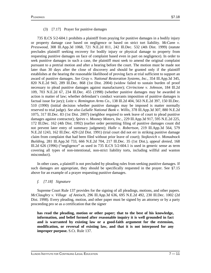# (3) [7.17] Prayer for punitive damages

735 ILCS 5/2-604.1 prohibits a plaintiff from praying for punitive damages in a bodily injury or property damage case based on negligence or based on strict tort liability. *McCann v. Presswood,* 308 Ill.App.3d 1068, 721 N.E.2d 811, 242 Ill.Dec. 532 (4th Dist. 1999) (statute precludes plaintiff seeking recovery for bodily injury or physical damage to property from requesting punitive damages on face of complaint based even in part on negligence). In order to seek punitive damages in such a case, the plaintiff must seek to amend the original complaint pursuant to a pretrial motion and after a hearing before the court. The motion must be made not later than 30 days after the close of discovery and should be granted only if the plaintiff establishes at the hearing the reasonable likelihood of proving facts at trial sufficient to support an award of punitive damages. *See Gray v. National Restoration Systems, Inc.,* 354 Ill.App.3d 345, 820 N.E.2d 943, 289 Ill.Dec. 868 (1st Dist. 2004) (widow failed to sustain burden of proof necessary to plead punitive damages against manufacturer); *Cirrincione v. Johnson,* 184 Ill.2d 109, 703 N.E.2d 67, 234 Ill.Dec. 455 (1998) (whether punitive damages may be awarded in action is matter of law; whether defendant's conduct warrants imposition of punitive damages is factual issue for jury); *Loitz v. Remington Arms Co.,* 138 Ill.2d 404, 563 N.E.2d 397, 150 Ill.Dec. 510 (1990) (initial decision whether punitive damages may be imposed is matter normally reserved to trial judge). *See also LaSalle National Bank v. Willis,* 378 Ill.App.3d 307, 880 N.E.2d 1075, 317 Ill.Dec. 83 (1st Dist. 2007) (neighbor required to seek leave of court to plead punitive damages against contractor); *Spires v. Mooney Motors, Inc.,* 229 Ill.App.3d 917, 595 N.E.2d 225, 172 Ill.Dec. 162 (4th Dist. 1992) (earlier order permitting filing of punitive damages count did not prevent later entry of summary judgment); *Halle v. Robertson,* 219 Ill.App.3d 564, 579 N.E.2d 1243, 162 Ill.Dec. 429 (2d Dist. 1991) (trial court did not err in striking punitive damage claim from complaint that had been filed without prior leave of court); *Stojkovich v. Monadnock Building,* 281 Ill.App.3d 733, 666 N.E.2d 704, 217 Ill.Dec. 35 (1st Dist.), *appeal denied,* 168 Ill.2d 626 (1996) ("negligence" as used in 735 ILCS 5/2-604.1 is used in generic sense as term covering all types of non-intentional, non-strict liability torts, including willful and wanton misconduct).

In other cases, a plaintiff is not precluded by pleading rules from seeking punitive damages. If such damages are appropriate, they should be specifically requested in the prayer. See §7.15 above for an example of a prayer requesting punitive damages.

# *f. [7.18] Signature*

Supreme Court Rule 137 provides for the signing of all pleadings, motions, and other papers. *McClaughry v. Village of Antioch,* 296 Ill.App.3d 636, 695 N.E.2d 492, 230 Ill.Dec. 1002 (2d Dist. 1998). Every pleading, motion, and other paper must be signed by an attorney or by a party proceeding pro se as a certification that the signer

**has read the pleading, motion or other paper; that to the best of his knowledge, information, and belief formed after reasonable inquiry it is well grounded in fact and is warranted by existing law or a good-faith argument for the extension, modification, or reversal of existing law, and that it is not interposed for any improper purpose.** S.Ct. Rule 137.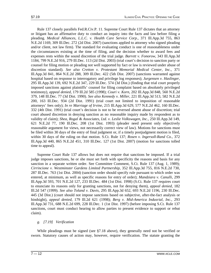Rule 137 closely parallels Fed.R.Civ.P. 11. Supreme Court Rule 137 dictates that an attorney or litigant has an affirmative duty to conduct an inquiry into the facts and law before filing a pleading. *Medical Alliances, L.L.C. v. Health Care Service Corp.,* 371 Ill.App.3d 755, 863 N.E.2d 1169, 309 Ill.Dec. 272 (2d Dist. 2007) (sanctions applied to attorney who signed pleading and/or client, not law firm). The standard for evaluating conduct is one of reasonableness under the circumstances existing at the time of filing, and the decision whether to award fees and expenses rests within the sound discretion of the trial judge. *Barrett v. Fonorow,* 343 Ill.App.3d 1184, 799 N.E.2d 916, 279 Ill.Dec. 113 (2d Dist. 2003) (trial court's decision to sanction party or counsel for filing motion or pleading not well supported by fact or law is reviewed under abuse of discretion standard). *See also Cretton v. Protestant Memorial Medical Center, Inc.,* 371 Ill.App.3d 841, 864 N.E.2d 288, 309 Ill.Dec. 422 (5th Dist. 2007) (sanctions warranted against hospital based on response to interrogatory and privilege log responses); *Jurgensen v. Haslinger,* 295 Ill.App.3d 139, 692 N.E.2d 347, 229 Ill.Dec. 574 (3d Dist.) (finding that trial court properly imposed sanctions against plaintiffs' counsel for filing complaint based on absolutely privileged testimony), *appeal denied,* 179 Ill.2d 585 (1998); *Couri v. Korn,* 202 Ill.App.3d 848, 560 N.E.2d 379, 148 Ill.Dec. 77 (3d Dist. 1990). *See also Kennedy v. Miller,* 221 Ill.App.3d 513, 582 N.E.2d 200, 163 Ill.Dec. 934 (2d Dist. 1991) (trial court not limited to imposition of reasonable attorneys' fees only); *In re Marriage of Irvine,* 215 Ill.App.3d 629, 577 N.E.2d 462, 160 Ill.Dec. 332 (4th Dist. 1991) (trial court's decision is not to be reversed absent abuse of discretion; trial court abused discretion in denying sanction as no reasonable inquiry made by respondent as to validity of claim); *Shea, Rogal & Associates, Ltd. v. Leslie Volkswagen, Inc.,* 250 Ill.App.3d 149, 621 N.E.2d 77, 190 Ill.Dec. 208 (1st Dist. 1993) (pleader need present only objectively reasonable argument for views, not necessarily correct view of law). Motions for sanctions must be filed within 30 days of the entry of final judgment or, if a timely postjudgment motion is filed, within 30 days of the ruling on that motion. S.Ct. Rule 137; *Rosen v. Ingersoll-Rand Co.,* 372 Ill.App.3d 440, 865 N.E.2d 451, 310 Ill.Dec. 127 (1st Dist. 2007) (motion for sanctions tolled time to appeal).

Supreme Court Rule 137 allows but does not require that sanctions be imposed. If a trial judge imposes sanctions, he or she must set forth with specificity the reasons and basis for any sanction in a separate written order. See Committee Comment, S.Ct. Rule 137 (Aug. 1, 1989); *Cirrincione v. Westminster Gardens Limited Partnership,* 352 Ill.App.3d 755, 816 N.E.2d 730, 287 Ill.Dec. 763 (1st Dist. 2004) (sanction order should specify rule pursuant to which order was entered, at minimum, as well as specific reasons for entry of order); *Mandziara v. Canulli,* 299 Ill.App.3d 593, 701 N.E.2d 127, 233 Ill.Dec. 484 (1st Dist. 1998) (S.Ct. Rule 137 requires court to enunciate its reasons only for granting sanctions, not for denying them), *appeal denied,* 182 Ill.2d 547 (1999). *See also Toland v. Davis,* 295 Ill.App.3d 652, 693 N.E.2d 1196, 230 Ill.Dec. 445 (3d Dist.) (court should not impose sanctions based on subjective, after-the-fact analysis or hindsight), *appeal denied,* 179 Ill.2d 621 (1998); *Berg v. Mid-America Indusrial, Inc.,* 293 Ill.App.3d 731, 688 N.E.2d 699, 228 Ill.Dec. 1 (1st Dist. 1997) (before imposing S.Ct. Rule 137 sanctions, court must conduct hearing to allow parties to present evidence to support or rebut claim).

# *g. [7.19] Verification*

While pleadings must be signed (see §7.18 above), they generally need not be verified or sworn. Statutory causes of action may, however, require verification. The statute granting the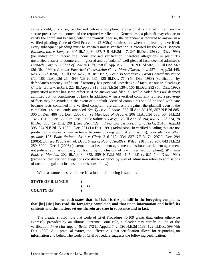cause should, of course, be checked before a complaint relying on it is drafted. Often, such a statute prescribes the content of the required verification. Nonetheless, a plaintiff may choose to verify the complaint because, when the plaintiff does so, the defendant is required to answer in a verified pleading. Code of Civil Procedure §2-605(a) requires that when one pleading is verified, every subsequent pleading must be verified unless verification is excused by the court. *Marren Builders, Inc. v. Lampert,* 307 Ill.App.3d 937, 719 N.E.2d 117, 241 Ill.Dec. 256 (2d Dist. 1999) (no indication in record trial court excused verification; therefore allegations in plaintiff's unverified answer to counterclaim ignored and defendants' well-pleaded facts deemed admitted); *Pinnacle Corp. v. Village of Lake in Hills,* 258 Ill.App.3d 205, 630 N.E.2d 502, 196 Ill.Dec. 567 (2d Dist. 1994); *Premier Electrical Construction Co. v. Morse/Diesel, Inc.,* 257 Ill.App.3d 445, 628 N.E.2d 1090, 195 Ill.Dec. 626 (1st Dist. 1993). *See also Schwartz v. Great Central Insurance Co.,* 188 Ill.App.3d 264, 544 N.E.2d 131, 135 Ill.Dec. 774 (5th Dist. 1989) (verification by defendant's attorney sufficient if attorney has personal knowledge of facts set out in pleading); *Charter Bank v. Eckert,* 223 Ill.App.3d 918, 585 N.E.2d 1304, 166 Ill.Dec. 282 (5th Dist. 1992) (unverified answer has same effect as if no answer was filed; all well-pleaded facts are deemed admitted but not conclusions of law). In addition, when a verified complaint is filed, a prove-up of facts may be avoided in the event of a default. Verified complaints should be used with care because facts contained in a verified complaint are admissible against the plaintiff even if the complaint is subsequently amended. *See Tyler v. Gibbons,* 368 Ill.App.3d 126, 857 N.E.2d 885, 306 Ill.Dec. 486 (3d Dist. 2006); *In re Marriage of Osborn,* 206 Ill.App.3d 588, 564 N.E.2d 1325, 151 Ill.Dec. 663 (5th Dist. 1990); *Robins v. Lasky,* 123 Ill.App.3d 194, 462 N.E.2d 774, 78 Ill.Dec. 655 (1st Dist. 1984). *See also Fidelity Financial Services, Inc. v. Hicks,* 214 Ill.App.3d 398, 574 N.E.2d 15, 158 Ill.Dec. 221 (1st Dist. 1991) (admissions in verified pleading that are not product of mistake or inadvertence become binding judicial admissions), *overruled on other grounds, U.S. Bank National Ass'n v. Clark,* 216 Ill.2d 334, 837 N.E.2d 74, 297 Ill.Dec. 294 (2005). *But see People ex rel. Department of Public Health v. Wiley,* 218 Ill.2d 207, 843 N.E.2d 259, 300 Ill.Dec. 1 (2006) (statement that installment agreement constituted settlement agreement not judicial admission; party not bound by conclusions of law in verified complaint); *Winnetka Bank v. Mandas,* 202 Ill.App.3d 373, 559 N.E.2d 961, 147 Ill.Dec. 621 (1st Dist. 1990) (provision that verified allegations constitute evidence by way of admission refers to admissions of fact, not legal conclusions or admissions of law).

When a statute does require verification, the following is suitable:

**STATE OF ILLINOIS ) ) ss. COUNTY OF \_\_\_\_\_\_\_\_\_\_ )**

**\_\_\_\_\_\_\_\_\_\_\_\_ on oath states that [**he**] [**she**] is the plaintiff in the foregoing complaint, that [**he**] [**she**] has read the foregoing complaint, and that upon information and belief, its contents and the matters set out therein are true in substance and in fact.**

The pleader should note that Code of Civil Procedure §1-109 grants that, unless otherwise expressly provided by an Illinois Supreme Court rule, a pleader may certify in lieu of the verification. *In re Marriage of Betts,* 172 Ill.App.3d 742, 526 N.E.2d 1138, 122 Ill.Dec. 599 (4th Dist. 1988). As a practical matter, the difference is that certification allows for responding on information and belief. The Code of Civil Procedure suggests the following certification: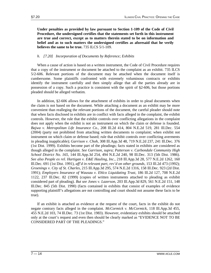**Under penalties as provided by law pursuant to Section 1-109 of the Code of Civil Procedure, the undersigned certifies that the statements set forth in this instrument are true and correct, except as to matters therein stated to be on information and belief and as to such matters the undersigned certifies as aforesaid that he verily believes the same to be true.** 735 ILCS 5/1-109.

# *h. [7.20] Incorporation of Documents by Reference; Exhibits*

When a cause of action is based on a written instrument, the Code of Civil Procedure requires that a copy of the instrument or document be attached to the complaint as an exhibit. 735 ILCS 5/2-606. Relevant portions of the document may be attached when the document itself is cumbersome. Some plaintiffs confronted with extremely voluminous contracts or exhibits identify the instrument carefully and then simply allege that all the parties already are in possession of a copy. Such a practice is consistent with the spirit of §2-606, but those portions pleaded should be alleged verbatim.

In addition, §2-606 allows for the attachment of exhibits in order to plead documents when the claim is not based on the document. While attaching a document as an exhibit may be more convenient than realleging the relevant portions of the document, the careful pleader should note that when facts disclosed in exhibits are in conflict with facts alleged in the complaint, the exhibit controls. However, the rule that the exhibit controls over conflicting allegations in the complaint does not apply when the exhibit is not an instrument on which the claim or defense is founded. *Bajwa v. Metropolitan Life Insurance Co.,* 208 Ill.2d 414, 804 N.E.2d 519, 281 Ill.Dec. 554 (2004) (party not prohibited from attaching written documents to complaint; when exhibit not instrument on which claim or defense based; rule that exhibit controls over conflicting averments in pleading inapplicable); *Garrison v. Choh,* 308 Ill.App.3d 48, 719 N.E.2d 237, 241 Ill.Dec. 376 (1st Dist. 1999). Exhibits become part of the pleadings; facts stated in exhibits are considered as though alleged in the complaint. *See Garrison, supra; Patterson v. Carbondale Community High School District No. 165,* 144 Ill.App.3d 254, 494 N.E.2d 240, 98 Ill.Dec. 313 (5th Dist. 1986). *See also People ex rel. Hartigan v. E&E Hauling, Inc.,* 218 Ill.App.3d 28, 577 N.E.2d 1262, 160 Ill.Dec. 691 (1st Dist. 1991), *aff'd in relevant part, rev'd on other grounds,* 153 Ill.2d 473 (1992); *Groenings v. City of St. Charles,* 215 Ill.App.3d 295, 574 N.E.2d 1316, 158 Ill.Dec. 923 (2d Dist. 1991); *Employers Insurance of Wausau v. Ehlco Liquidating Trust,* 186 Ill.2d 127, 708 N.E.2d 1122, 237 Ill.Dec. 82 (1999) (copies of written instruments attached to pleading as exhibit considered part of pleading). *But see Jones v. Lazerson,* 203 Ill.App.3d 829, 561 N.E.2d 151, 148 Ill.Dec. 845 (5th Dist. 1990) (facts contained in exhibits that consist of examples of evidence supporting plaintiff's allegations are not controlling and court should not assume these facts to be true).

If an exhibit is attached as evidence at the request of the court, facts in the exhibit do not negate contrary facts alleged in the complaint. *McCormick v. McCormick,* 118 Ill.App.3d 455, 455 N.E.2d 103, 74 Ill.Dec. 73 (1st Dist. 1983). However, evidentiary exhibits should be attached only at the court's request and even then should be clearly marked as "EVIDENCE NOT TO BE CONSIDERED PART OF THE PLEADINGS."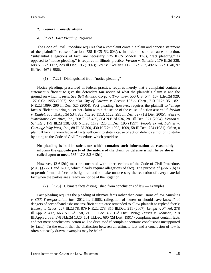# **2. General Considerations**

# *a. [7.21] Fact Pleading Required*

The Code of Civil Procedure requires that a complaint contain a plain and concise statement of the plaintiff's cause of action. 735 ILCS 5/2-603(a). In order to state a cause of action, "substantial allegations of fact" are necessary. 735 ILCS 5/2-601. Thus, "fact pleading," as opposed to "notice pleading," is required in Illinois practice. *Vernon v. Schuster,* 179 Ill.2d 338, 688 N.E.2d 1172, 228 Ill.Dec. 195 (1997); *Teter v. Clemens,* 112 Ill.2d 252, 492 N.E.2d 1340, 97 Ill.Dec. 467 (1986).

# (1) [7.22] Distinguished from "notice pleading"

Notice pleading, prescribed in federal practice, requires merely that a complaint contain a statement sufficient to give the defendant fair notice of what the plaintiff's claim is and the ground on which it rests. *See Bell Atlantic Corp. v. Twombley,* 550 U.S. 544, 167 L.Ed.2d 929, 127 S.Ct. 1955 (2007). *See also City of Chicago v. Beretta U.S.A. Corp.,* 213 Ill.2d 351, 821 N.E.2d 1099, 290 Ill.Dec. 525 (2004). Fact pleading, however, requires the plaintiff to "allege facts sufficient to bring his or her claim within the scope of the cause of action asserted." *Jordan v. Knafel,* 355 Ill.App.3d 534, 823 N.E.2d 1113, 1122, 291 Ill.Dec. 527 (1st Dist. 2005); *Weiss v. Waterhouse Securities, Inc.,* 208 Ill.2d 439, 804 N.E.2d 536, 281 Ill.Dec. 571 (2004); *Vernon v. Schuster,* 179 Ill.2d 338, 688 N.E.2d 1172, 228 Ill.Dec. 195 (1997); *People ex rel. Fahner v. Carriage Way West, Inc.,* 88 Ill.2d 300, 430 N.E.2d 1005, 1009, 58 Ill.Dec. 754 (1981). Often, a plaintiff lacking knowledge of facts sufficient to state a cause of action defends a motion to strike by citing to the Code of Civil Procedure, which provides:

# **No pleading is bad in substance which contains such information as reasonably informs the opposite party of the nature of the claim or defense which he or she is called upon to meet.** 735 ILCS 5/2-612(b).

However, §2-612(b) must be construed with other sections of the Code of Civil Procedure, (*e.g.,* §§2-601 and 2-603, which clearly require allegations of fact). The purpose of §2-612(b) is to permit formal defects to be ignored and to make unnecessary the recitation of every material fact when the parties are already on notice of the litigation.

# (2) [7.23] Ultimate facts distinguished from conclusions of law — examples

Fact pleading requires the pleading of ultimate facts rather than conclusions of law. *Simpkins v. CSX Transportation, Inc.,* 2012 IL 110662 (allegation of "knew or should have known" of dangers of secondhand asbestos insufficient but case remanded to allow plaintiff to replead facts); *Iseberg v. Gross,* 227 Ill.2d 78, 879 N.E.2d 278, 316 Ill.Dec. 211 (2007); *Lempa v. Finkel,* 278 Ill.App.3d 417, 663 N.E.2d 158, 215 Ill.Dec. 408 (2d Dist. 1996); *Harris v. Johnson,* 218 Ill.App.3d 588, 578 N.E.2d 1326, 161 Ill.Dec. 680 (2d Dist. 1991) (complaint must contain facts and not mere conclusions; action will be dismissed if complaint contains conclusions unsupported by facts). To the extent that the distinction between an ultimate fact and a conclusion of law is often not easily drawn, examples may be helpful.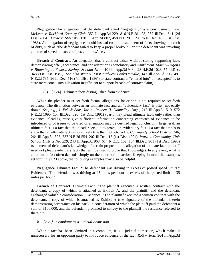**Negligence.** An allegation that the defendant acted "negligently" is a conclusion of law. *McLean v. Rockford Country Club,* 352 Ill.App.3d 229, 816 N.E.2d 403, 287 Ill.Dec. 641 (2d Dist. 2004); *Doyle v. Shlensky,* 120 Ill.App.3d 807, 458 N.E.2d 1120, 76 Ill.Dec. 466 (1st Dist. 1983). An allegation of negligence should instead contain a statement of facts showing a breach of duty, such as "the defendant failed to keep a proper lookout," or "the defendant was traveling at a rate of speed in excess of posted limits," etc.

**Breach of Contract.** An allegation that a contract exists without stating supporting facts demonstrating offer, acceptance, and consideration is conclusory and insufficient. *Martin-Trigona v. Bloomington Federal Savings & Loan Ass'n,* 101 Ill.App.3d 943, 428 N.E.2d 1028, 57 Ill.Dec. 348 (1st Dist. 1981). *See also Wait v. First Midwest Bank/Danville,* 142 Ill.App.3d 703, 491 N.E.2d 795, 96 Ill.Dec. 516 (4th Dist. 1986) (to state contract is "entered into" or "accepted" is to state mere conclusory allegation insufficient to support breach of contract claim).

# (3) [7.24] Ultimate facts distinguished from evidence

While the pleader must set forth factual allegations, he or she is not required to set forth evidence. The distinction between an ultimate fact and an "evidentiary fact" is often not easily drawn. *See, e.g., J. Eck & Sons, Inc. v. Reuben H. Donnelley Corp.,* 213 Ill.App.3d 510, 572 N.E.2d 1090, 157 Ill.Dec. 626 (1st Dist. 1991) (party may plead ultimate facts only rather than evidence; pleading must give sufficient information concerning character of evidence to be introduced or of issues to be tried or allegation may be deemed legal conclusion). In general, an ultimate fact is a fact that the pleader sets out to prove; an evidentiary fact is a fact that tends to show that an ultimate fact is more likely true than not. *Oravek v. Community School District. 146,* 264 Ill.App.3d 895, 637 N.E.2d 554, 202 Ill.Dec. 15 (1st Dist. 1994); *Ward v. Community Unit School District No. 220,* 243 Ill.App.3d 968, 614 N.E.2d 102, 184 Ill.Dec. 901 (1st Dist. 1993) (statement of defendant's knowledge of certain proposition is allegation of ultimate fact; plaintiff need not plead evidentiary facts that will be used to prove that knowledge). In any event, what is an ultimate fact often depends simply on the nature of the action. Keeping in mind the examples set forth in §7.23 above, the following examples may also be helpful.

**Negligence.** Ultimate Fact: "The defendant was driving in excess of posted speed limits." Evidence: "The defendant was driving at 45 miles per hour in excess of the posted limit of 35 miles per hour."

**Breach of Contract.** Ultimate Fact: "The plaintiff executed a written contract with the defendant, a copy of which is attached as Exhibit A, and the plaintiff and the defendant exchanged valuable consideration." Evidence: "The plaintiff executed a written contract with the defendant, a copy of which is attached as Exhibit A (the signature of the defendant therein demonstrating acceptance on his part), in consideration of which the plaintiff paid the defendant a sum of \$100,000, and the defendant promised to convey to the plaintiff the residence referred to therein."

# *b. [7.25] Complaint as a Judicial Admission*

When a fact has been admitted in a complaint, it is a judicial admission, which makes it unnecessary for an opposing party to introduce evidence of the fact. *Roti v. Roti,* 364 Ill.App.3d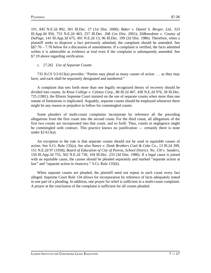191, 845 N.E.2d 892, 301 Ill.Dec. 27 (1st Dist. 2006); *Baker v. Daniel S. Berger, Ltd.,* 323 Ill.App.3d 956, 753 N.E.2d 463, 257 Ill.Dec. 268 (1st Dist. 2001); *DiBenedetto v. County of DuPage,* 141 Ill.App.3d 675, 491 N.E.2d 13, 96 Ill.Dec. 199 (2d Dist. 1986). Therefore, when a plaintiff seeks to disprove a fact previously admitted, the complaint should be amended. See §§7.76 – 7.78 below for a discussion of amendments. If a complaint is verified, the facts admitted within it is admissible as evidence at trial even if the complaint is subsequently amended. See §7.19 above regarding verification.

### *c. [7.26] Use of Separate Counts*

735 ILCS 5/2-613(a) provides: "Parties may plead as many causes of action . . . as they may have, and each shall be separately designated and numbered."

A complaint that sets forth more than one legally recognized theory of recovery should be divided into counts. In *Knox College v. Celotex Corp.,* 88 Ill.2d 407, 430 N.E.2d 976, 58 Ill.Dec. 725 (1981), the Illinois Supreme Court insisted on the use of separate counts when more than one statute of limitations is implicated. Arguably, separate counts should be employed whenever there might be any reason or prejudice to follow for commingled counts.

Some pleaders of multi-count complaints incorporate by reference all the preceding allegations from the first count into the second count. For the third count, all allegations of the first two counts are incorporated into that count, and so forth. Thus, counts in negligence might be commingled with contract. This practice knows no justification — certainly there is none under §2-613(a).

An exception to the rule is that separate counts should not be used in equitable causes of action. See S.Ct. Rule 135(a). *See also Nance v. Donk Brothers Coal & Coke Co.,* 13 Ill.2d 399, 151 N.E.2d 97 (1958); *Board of Education of City of Peoria, School District. No. 150 v. Sanders,* 150 Ill.App.3d 755, 502 N.E.2d 730, 104 Ill.Dec. 233 (3d Dist. 1986). If a legal cause is joined with an equitable cause, the causes should be pleaded separately and marked "separate action at law" and "separate action in chancery." S.Ct. Rule 135(b).

When separate counts are pleaded, the plaintiff need not repeat in each count every fact alleged. Supreme Court Rule 134 allows for incorporation by reference of facts adequately stated in one part of a pleading. In addition, one prayer for relief is sufficient in a multi-count complaint. A prayer at the conclusion of the complaint is sufficient for all counts pleaded.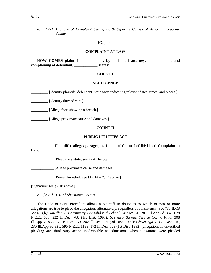*d. [7.27] Example of Complaint Setting Forth Separate Causes of Action in Separate Counts*

### **[**Caption**]**

### **COMPLAINT AT LAW**

**NOW COMES plaintiff \_\_\_\_\_\_\_\_\_\_\_\_, by [**his**] [**her**] attorney, \_\_\_\_\_\_\_\_\_\_\_\_, and complaining of defendant, \_\_\_\_\_\_\_\_\_\_\_\_, states:**

# **COUNT I**

### **NEGLIGENCE**

**\_\_\_\_\_\_\_\_\_ [**Identify plaintiff, defendant; state facts indicating relevant dates, times, and places.**]**

**\_\_\_\_\_\_\_\_\_ [**Identify duty of care.**]**

**\_\_\_\_\_\_\_\_\_ [**Allege facts showing a breach.**]**

**\_\_\_\_\_\_\_\_\_ [**Allege proximate cause and damages.**]**

# **COUNT II**

# **PUBLIC UTILITIES ACT**

**\_\_\_\_\_ Plaintiff realleges paragraphs 1 – \_\_ of Count I of [his] [her] Complaint at Law.**

**\_\_\_\_\_\_\_\_\_\_\_\_ [**Plead the statute; see §7.41 below.**]**

**\_\_\_\_\_\_\_\_\_\_\_\_ [**Allege proximate cause and damages.**]**

**[Prayer for relief; see**  $\S$ **§7.14 – 7.17 above.]** 

**[**Signature; see §7.18 above.**]**

*e. [7.28] Use of Alternative Counts*

The Code of Civil Procedure allows a plaintiff in doubt as to which of two or more allegations are true to plead the allegations alternatively, regardless of consistency. See 735 ILCS 5/2-613(b); *Mueller v. Community Consolidated School District 54,* 287 Ill.App.3d 337, 678 N.E.2d 660, 222 Ill.Dec. 788 (1st Dist. 1997). *See also Bureau Service Co. v. King,* 308 Ill.App.3d 835, 721 N.E.2d 159, 242 Ill.Dec. 191 (3d Dist. 1999); *Cleveringa v. J.I. Case Co.,* 230 Ill.App.3d 831, 595 N.E.2d 1193, 172 Ill.Dec. 523 (1st Dist. 1992) (allegations in unverified pleading and third-party action inadmissible as admissions when allegations were pleaded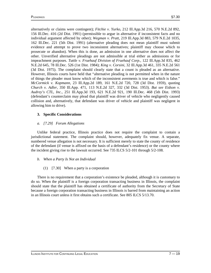alternatively or claims were contingent); *Fitchie v. Yurko,* 212 Ill.App.3d 216, 570 N.E.2d 892, 156 Ill.Dec. 416 (2d Dist. 1991) (permissible to argue in alternative if inconsistent facts and no individual argument affected by other); *Wegman v. Pratt,* 219 Ill.App.3d 883, 579 N.E.2d 1035, 162 Ill.Dec. 221 (5th Dist. 1991) (alternative pleading does not mean plaintiff must submit evidence and attempt to prove two inconsistent alternatives; plaintiff may choose which to prosecute or abandon). When this is done, an admission in one alternative does not affect the other. Unverified alternative pleadings are not admissible at trial either as admissions or for impeachment purposes. *Tuttle v. Fruehauf Division of Fruehauf Corp.,* 122 Ill.App.3d 835, 462 N.E.2d 645, 78 Ill.Dec. 526 (1st Dist. 1984); *King v. Corsini,* 32 Ill.App.3d 461, 335 N.E.2d 561 (3d Dist. 1975). The complaint should clearly state that a count is pleaded as an alternative. However, Illinois courts have held that "alternative pleading is not permitted when in the nature of things the pleader must know which of the inconsistent averments is true and which is false." *McCormick v. Kopmann,* 23 Ill.App.2d 189, 161 N.E.2d 720, 728 (3d Dist. 1959), quoting *Church v. Adler,* 350 Ill.App. 471, 113 N.E.2d 327, 332 (3d Dist. 1953). *But see Eidson v. Audrey's CTL, Inc.,* 251 Ill.App.3d 193, 621 N.E.2d 921, 190 Ill.Dec. 468 (5th Dist. 1993) (defendant's counterclaim may plead that plaintiff was driver of vehicle who negligently caused collision and, alternatively, that defendant was driver of vehicle and plaintiff was negligent in allowing him to drive).

# **3. Specific Considerations**

# *a. [7.29] Forum Allegations*

Unlike federal practice, Illinois practice does not require the complaint to contain a jurisdictional statement. The complaint should, however, adequately fix venue. A separate, numbered venue allegation is not necessary. It is sufficient merely to state the county of residence of the defendant (if venue is affixed on the basis of a defendant's residence) or the county where the incident giving rise to the lawsuit occurred. See 735 ILCS 5/2-101 through 5/2-108.

- *b. When a Party Is Not an Individual*
	- (1) [7.30] When a party is a corporation

There is no requirement that a corporation's existence be pleaded, although it is customary to do so. When the plaintiff is a foreign corporation transacting business in Illinois, the complaint should state that the plaintiff has obtained a certificate of authority from the Secretary of State because a foreign corporation transacting business in Illinois is barred from maintaining an action in an Illinois court unless it first obtains such a certificate. See 805 ILCS 5/13.70.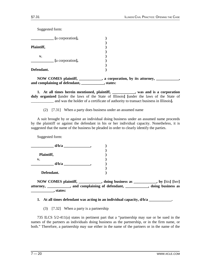Suggested form:

|            | [a corporation], |  |
|------------|------------------|--|
| Plaintiff, |                  |  |
| v.         | [a corporation], |  |
| Defendant. |                  |  |

NOW COMES plaintiff, \_\_\_\_\_\_\_\_, a corporation, by its attorney, \_\_\_\_\_\_\_\_, **and complaining of defendant, \_\_\_\_\_\_\_\_\_\_\_\_, states:**

**1. At all times herein mentioned, plaintiff, \_\_\_\_\_\_\_\_\_\_\_\_, was and is a corporation duly organized [**under the laws of the State of Illinois**] [**under the laws of the State of \_\_\_\_\_\_\_\_\_\_\_\_ and was the holder of a certificate of authority to transact business in Illinois**].**

(2) [7.31] When a party does business under an assumed name

A suit brought by or against an individual doing business under an assumed name proceeds by the plaintiff or against the defendant in his or her individual capacity. Nonetheless, it is suggested that the name of the business be pleaded in order to clearly identify the parties.

Suggested form:

|            | d/b/a |  |
|------------|-------|--|
| Plaintiff, |       |  |
| v.         |       |  |
|            | d/b/a |  |
|            |       |  |

**Defendant. )**

**NOW COMES plaintiff, \_\_\_\_\_\_\_\_\_\_\_\_, doing business as \_\_\_\_\_\_\_\_\_\_\_\_, by [**his**] [**her**] attorney, \_\_\_\_\_\_\_\_\_\_\_\_, and complaining of defendant, \_\_\_\_\_\_\_\_\_\_\_\_, doing business as \_\_\_\_\_\_\_\_\_\_\_\_, states:**

**1. At all times defendant was acting in an individual capacity, d/b/a \_\_\_\_\_\_\_\_\_\_\_\_.**

(3) [7.32] When a party is a partnership

735 ILCS 5/2-411(a) states in pertinent part that a "partnership may sue or be sued in the names of the partners as individuals doing business as the partnership, or in the firm name, or both." Therefore, a partnership may sue either in the name of the partners or in the name of the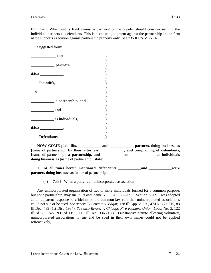firm itself. When suit is filed against a partnership, the pleader should consider naming the individual partners as defendants. This is because a judgment against the partnership in the firm name supports execution against partnership property only. See 735 ILCS 5/12-102.

Suggested form:

| and                    |  |
|------------------------|--|
| ________, partners,    |  |
|                        |  |
| Plaintiffs,            |  |
| v.                     |  |
| __, a partnership, and |  |
| and                    |  |
| _ as individuals,      |  |
|                        |  |
| Defendants.            |  |
|                        |  |

**NOW COME plaintiffs, \_\_\_\_\_\_\_\_\_\_\_\_ and \_\_\_\_\_\_\_\_\_\_\_\_, partners, doing business as**  [name of partnership], by their attorneys, \_\_\_\_\_\_\_\_\_\_, and complaining of defendants, **[**name of partnership**], a partnership, and\_\_\_\_\_\_\_\_\_\_\_\_ and \_\_\_\_\_\_\_\_\_\_\_\_ as individuals doing business as [**name of partnership**], state:**

**1. At all times herein mentioned, defendants \_\_\_\_\_\_\_\_\_\_\_\_and \_\_\_\_\_\_\_\_\_\_\_\_were partners doing business as [**name of partnership**].**

(4) [7.33] When a party is an unincorporated association

Any unincorporated organization of two or more individuals formed for a common purpose, but not a partnership, may sue in its own name. 735 ILCS 5/2-209.1. Section 2-209.1 was adopted as an apparent response to criticism of the common-law rule that unincorporated associations could not sue or be sued. *See generally Brucato v. Edgar,* 128 Ill.App.3d 260, 470 N.E.2d 615, 83 Ill.Dec. 489 (1st Dist. 1984). *See also Rivard v. Chicago Fire Fighters Union, Local No. 2,* 122 Ill.2d 303, 522 N.E.2d 1195, 119 Ill.Dec. 336 (1988) (substantive statute allowing voluntary, unincorporated associations to sue and be sued in their own names could not be applied retroactively).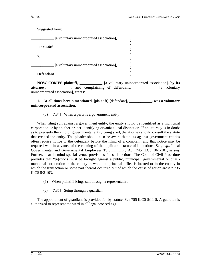Suggested form:

| [a voluntary unincorporated association], |  |
|-------------------------------------------|--|
| Plaintiff,                                |  |
| v.                                        |  |
| [a voluntary unincorporated association], |  |
| Defendant.                                |  |

**NOW COMES plaintiff, \_\_\_\_\_\_\_\_\_\_\_\_ [**a voluntary unincorporated association**], by its attorney, and complaining of defendant,**  [a voluntary unincorporated association**], states:**

**1. At all times herein mentioned, [**plaintiff**] [**defendant**], \_\_\_\_\_\_\_\_\_\_\_\_, was a voluntary unincorporated association.**

(5) [7.34] When a party is a government entity

When filing suit against a government entity, the entity should be identified as a municipal corporation or by another proper identifying organizational distinction. If an attorney is in doubt as to precisely the kind of governmental entity being sued, the attorney should consult the statute that created the entity. The pleader should also be aware that suits against government entities often require notice to the defendant before the filing of a complaint and that notice may be required well in advance of the running of the applicable statute of limitations. See, *e.g.,* Local Governmental and Governmental Employees Tort Immunity Act, 745 ILCS 10/1-101, *et seq.* Further, bear in mind special venue provisions for such actions. The Code of Civil Procedure provides that "[a]ctions must be brought against a public, municipal, governmental or quasimunicipal corporation in the county in which its principal office is located or in the county in which the transaction or some part thereof occurred out of which the cause of action arose." 735 ILCS 5/2-103.

- (6) When plaintiff brings suit through a representative
- (a) [7.35] Suing through a guardian

The appointment of guardians is provided for by statute. See 755 ILCS 5/11-5. A guardian is authorized to represent the ward in all legal proceedings.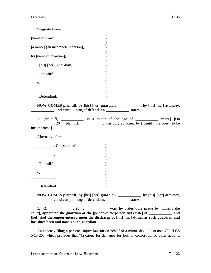| Suggested form:                                                                                                                                                                                                                                                                                                                                                                                                               |  |  |
|-------------------------------------------------------------------------------------------------------------------------------------------------------------------------------------------------------------------------------------------------------------------------------------------------------------------------------------------------------------------------------------------------------------------------------|--|--|
| [name of ward],                                                                                                                                                                                                                                                                                                                                                                                                               |  |  |
| [a minor] [an incompetent person],                                                                                                                                                                                                                                                                                                                                                                                            |  |  |
| by [name of guardian],                                                                                                                                                                                                                                                                                                                                                                                                        |  |  |
| [his] [her] Guardian,                                                                                                                                                                                                                                                                                                                                                                                                         |  |  |
| Plaintiff,                                                                                                                                                                                                                                                                                                                                                                                                                    |  |  |
| v.                                                                                                                                                                                                                                                                                                                                                                                                                            |  |  |
| <u> 1989 - Johann John Harry Harry Harry Harry Harry Harry Harry Harry Harry Harry Harry Harry Harry Harry Harry</u>                                                                                                                                                                                                                                                                                                          |  |  |
|                                                                                                                                                                                                                                                                                                                                                                                                                               |  |  |
| Defendant.                                                                                                                                                                                                                                                                                                                                                                                                                    |  |  |
| NOW COMES plaintiff, by [his] [her] guardian, _________, by [his] [her] attorney,<br>and complaining of defendant, ___________, states:                                                                                                                                                                                                                                                                                       |  |  |
| 1. [Plaintiff, __________, is a minor of the age of __________ years.] [On<br>20, plaintiff, was duly adjudged by [identify the court] to be                                                                                                                                                                                                                                                                                  |  |  |
| incompetent.]                                                                                                                                                                                                                                                                                                                                                                                                                 |  |  |
| Alternative form:                                                                                                                                                                                                                                                                                                                                                                                                             |  |  |
| Guardian of                                                                                                                                                                                                                                                                                                                                                                                                                   |  |  |
|                                                                                                                                                                                                                                                                                                                                                                                                                               |  |  |
|                                                                                                                                                                                                                                                                                                                                                                                                                               |  |  |
|                                                                                                                                                                                                                                                                                                                                                                                                                               |  |  |
| Plaintiff,                                                                                                                                                                                                                                                                                                                                                                                                                    |  |  |
|                                                                                                                                                                                                                                                                                                                                                                                                                               |  |  |
| v.                                                                                                                                                                                                                                                                                                                                                                                                                            |  |  |
|                                                                                                                                                                                                                                                                                                                                                                                                                               |  |  |
|                                                                                                                                                                                                                                                                                                                                                                                                                               |  |  |
| Defendant.                                                                                                                                                                                                                                                                                                                                                                                                                    |  |  |
| NOW COMES plaintiff, by [his] [her] guardian, __________, by [his] [her] attorney,<br>and complaining of defendant, ___________, states:                                                                                                                                                                                                                                                                                      |  |  |
| 1. On $\frac{1}{\sqrt{1-\frac{1}{\sqrt{1-\frac{1}{\sqrt{1-\frac{1}{\sqrt{1-\frac{1}{\sqrt{1-\frac{1}{\sqrt{1-\frac{1}{\sqrt{1-\frac{1}{\sqrt{1-\frac{1}{\sqrt{1-\frac{1}{\sqrt{1-\frac{1}{\sqrt{1-\frac{1}{\sqrt{1-\frac{1}{\sqrt{1-\frac{1}{\sqrt{1-\frac{1}{\sqrt{1-\frac{1}{\sqrt{1-\frac{1}{\sqrt{1-\frac{1}{\sqrt{1-\frac{1}{\sqrt{1-\frac{1}{\sqrt{1-\frac{1}{\sqrt{1-\frac{1}{\sqrt{1-\frac{1}{\sqrt{1-\frac{1}{\sqrt$ |  |  |
| court], appointed the guardian of the [person/estate/person and estate] of _________, and                                                                                                                                                                                                                                                                                                                                     |  |  |

An attorney filing a personal injury lawsuit on behalf of a minor should also note 735 ILCS 5/13-203 which provides that "[a]ctions for damages for loss of consortium or other actions,

**[**he**] [**she**] thereupon entered upon the discharge of [**his**] [**her**] duties as such guardian and** 

**has since been and now is such guardian.**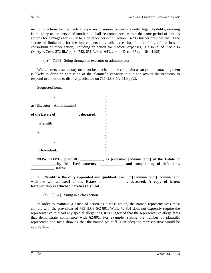including actions for the medical expenses of minors or persons under legal disability, deriving from injury to the person of another. . . shall be commenced within the same period of time as actions for damages for injury to such other person." Section 13-203 further provides that if the statute of limitations for the injured person is tolled, the time for the filing of the loss of consortium or other action, including an action for medical expenses, is also tolled. *See also Dewey v. Zack,* 272 Ill.App.3d 742, 651 N.E.2d 643, 209 Ill.Dec. 465 (2d Dist. 1995).

(b) [7.36] Suing through an executor or administrator

While letters testamentary need not be attached to the complaint as an exhibit, attaching them is likely to draw an admission of the plaintiff's capacity to sue and avoids the necessity to respond to a motion to dismiss predicated on 735 ILCS  $5/2-619(a)(2)$ .

Suggested form:

| as [Executor] [Administrator]              |   |
|--------------------------------------------|---|
| of the Estate of ______________, deceased, |   |
| Plaintiff,                                 |   |
| v.                                         |   |
|                                            |   |
| Defendant.                                 |   |
| <b>NOW COMES plaintiff,</b>                | a |

**NOW COMES plaintiff, \_\_\_\_\_\_\_\_\_\_\_\_, as [**executor**] [**administrator**] of the Estate of \_\_\_\_\_\_\_\_\_\_\_\_, by [**his**] [**her**] attorney, \_\_\_\_\_\_\_\_\_\_\_\_, and complaining of defendant, \_\_\_\_\_\_\_\_\_\_\_\_, states:**

**1. Plaintiff is the duly appointed and qualified [**executor**] [**administrator**] [**administrator with the will annexed**] of the Estate of \_\_\_\_\_\_\_\_\_\_, deceased. A copy of letters testamentary is attached hereto as Exhibit 1.**

(c) [7.37] Suing in a class action

In order to maintain a cause of action as a class action, the named representatives must comply with the provisions of 735 ILCS 5/2-801. While §2-801 does not expressly require the representative to plead any special allegations, it is suggested that the representative allege facts that demonstrate compliance with §2-801. For example, stating the number of plaintiffs represented and facts showing that the named plaintiff is an adequate representative would be appropriate.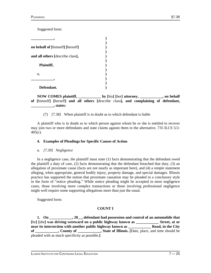Suggested form:

**NOW COMES plaintiff, \_\_\_\_\_\_\_\_\_\_\_\_ by [**his**] [**her**] attorney, \_\_\_\_\_\_\_\_\_\_\_\_, on behalf of [**himself**] [**herself**] and all others [**describe class**], and complaining of defendant, \_\_\_\_\_\_\_\_\_\_\_\_, states:**

(7) [7.38] When plaintiff is in doubt as to which defendant is liable

A plaintiff who is in doubt as to which person against whom he or she is entitled to recover may join two or more defendants and state claims against them in the alternative. 735 ILCS 5/2- 405(c).

# **4. Examples of Pleadings for Specific Causes of Action**

# *a. [7.39] Negligence*

In a negligence case, the plaintiff must state (1) facts demonstrating that the defendant owed the plaintiff a duty of care, (2) facts demonstrating that the defendant breached that duty, (3) an allegation of proximate cause (facts are not nearly as important here), and (4) a simple statement alleging, when appropriate, general bodily injury, property damage, and special damages. Illinois practice has supported the notion that proximate causation may be pleaded in a conclusory style in the form of "notice pleading." While notice pleading might be accepted in most negligence cases, those involving more complex transactions or those involving professional negligence might well require some supporting allegations more than just the usual.

Suggested form:

# **COUNT I**

**1. On \_\_\_\_\_\_\_\_\_\_\_\_, 20\_\_, defendant had possession and control of an automobile that [**he**] [**she**] was driving westward on a public highway known as \_\_\_\_\_\_\_\_\_\_\_\_ Street, at or near its intersection with another public highway known as \_\_\_\_\_\_\_\_\_\_\_\_ Road, in the City of \_\_\_\_\_\_\_\_\_\_\_\_, County of \_\_\_\_\_\_\_\_\_\_\_\_, State of Illinois. [**Date, place, and time should be pleaded with as much specificity as possible.**]**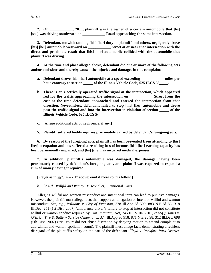**2. On \_\_\_\_\_\_\_\_\_\_\_\_, 20\_\_, plaintiff was the owner of a certain automobile that [**he**] [**she**] was driving southward on \_\_\_\_\_\_\_\_\_\_\_\_ Road approaching the same intersection.**

**3. Defendant, notwithstanding [**his**] [**her**] duty to plaintiff and others, negligently drove [**his**] [**her**] automobile westward on \_\_\_\_\_\_\_\_\_\_\_\_ Street at or near that intersection with the direct and proximate result that [**his**] [**her**] automobile collided with the automobile that plaintiff was driving.**

**4. At the time and place alleged above, defendant did one or more of the following acts and/or omissions and thereby caused the injuries and damages in this complaint:**

- **a. Defendant drove [**his**] [**her**] automobile at a speed exceeding \_\_\_\_\_\_\_\_\_\_\_\_ miles per hour contrary to section \_\_\_\_\_ of the Illinois Vehicle Code, 625 ILCS 5/\_\_\_\_\_.**
- **b. There is an electrically operated traffic signal at the intersection, which appeared red for the traffic approaching the intersection on \_\_\_\_\_\_\_\_\_\_\_\_ Street from the east at the time defendant approached and entered the intersection from that direction. Nevertheless, defendant failed to stop [**his**] [**her**] automobile and drove past the traffic signal and into the intersection in violation of section** of the **Illinois Vehicle Code, 625 ILCS 5/\_\_\_\_\_.**
- **c. [**Allege additional acts of negligence, if any.**]**

**5. Plaintiff suffered bodily injuries proximately caused by defendant's foregoing acts.**

**6. By reason of the foregoing acts, plaintiff has been prevented from attending to [**his**] [**her**] occupation and has suffered a resulting loss of income, [**his**] [**her**] earning capacity has been permanently impaired, and [**he**] [**she**] has incurred medical expenses.**

**7. In addition, plaintiff's automobile was damaged, the damage having been proximately caused by defendant's foregoing acts, and plaintiff was required to expend a sum of money having it repaired.**

**[**Prayer as in §§7.14 – 7.17 above; omit if more counts follow.**]**

*b. [7.40] Willful and Wanton Misconduct; Intentional Torts*

Alleging willful and wanton misconduct and intentional torts can lead to punitive damages. However, the plaintiff must allege facts that support an allegation of intent or willful and wanton misconduct. *See, e.g., Williams v. City of Evanston,* 378 Ill.App.3d 590, 883 N.E.2d 85, 318 Ill.Dec. 251 (1st Dist. 2007) (ambulance driver's failure to stop at intersection did not constitute willful or wanton conduct required by Tort Immunity Act, 745 ILCS 10/1-101, *et seq.*); *Jones v. O'Brien Tire & Battery Service Center, Inc.,* 374 Ill.App.3d 918, 871 N.E.2d 98, 312 Ill.Dec. 698 (5th Dist. 2007) (trial court did not abuse discretion by denying motion to amend complaint to add willful and wanton spoliation count). The plaintiff must allege facts demonstrating a reckless disregard of the plaintiff's safety on the part of the defendant. *Floyd v. Rockford Park District,*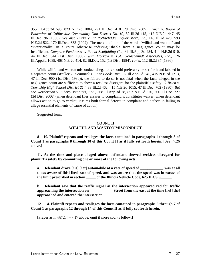355 Ill.App.3d 695, 823 N.E.2d 1004, 291 Ill.Dec. 418 (2d Dist. 2005); *Lynch v. Board of Education of Collinsville Communitty Unit District No. 10,* 82 Ill.2d 415, 412 N.E.2d 447, 45 Ill.Dec. 96 (1980). *See also Burke v. 12 Rothschild's Liquor Mart, Inc.,* 148 Ill.2d 429, 593 N.E.2d 522, 170 Ill.Dec. 633 (1992). The mere addition of the words "willful and wanton" and "intentionally" in a count otherwise indistinguishable from a negligence count may be insufficient. *Compare Pendowski v. Patent Scaffolding Co.,* 89 Ill.App.3d 484, 411 N.E.2d 910, 44 Ill.Dec. 544 (1st Dist. 1980), *with Morrow v. L.A. Goldschmidt Associates, Inc.,* 126 Ill.App.3d 1089, 468 N.E.2d 414, 82 Ill.Dec. 152 (1st Dist. 1984), *rev'd,* 112 Ill.2d 87 (1986).

While willful and wanton misconduct allegations should preferably be set forth and labeled in a separate count (*Walker v. Dominick's Finer Foods, Inc.,* 92 Ill.App.3d 645, 415 N.E.2d 1213, 47 Ill.Dec. 900 (1st Dist. 1980)), the failure to do so is not fatal when the facts alleged in the negligence count are sufficient to show a reckless disregard for the plaintiff's safety. *O'Brien v. Township High School District 214,* 83 Ill.2d 462, 415 N.E.2d 1015, 47 Ill.Dec. 702 (1980). *But see Werderman v. Liberty Ventures, LLC,* 368 Ill.App.3d 78, 857 N.E.2d 320, 306 Ill.Dec. 227 (2d Dist. 2006) (when defendant files answer to complaint, it constitutes waiver; when defendant allows action to go to verdict, it cures both formal defects in complaint and defects in failing to allege essential elements of cause of action).

Suggested form:

# **COUNT II WILLFUL AND WANTON MISCONDUCT**

**8 – 10. Plaintiff repeats and realleges the facts contained in paragraphs 1 through 3 of Count 1 as paragraphs 8 through 10 of this Count II as if fully set forth herein. [**See §7.26 above.**]**

**11. At the time and place alleged above, defendant showed reckless disregard for plaintiff's safety by committing one or more of the following acts:**

**a. Defendant drove [**his**] [**her**] automobile at a rate of speed of \_\_\_\_\_\_\_\_\_\_\_\_, was at all times aware of [**his**] [**her**] rate of speed, and was aware that the speed was in excess of the limit prescribed in section by the Illinois Vehicle Code, 625 ILCS 5/** $\ldots$ **.** 

**b. Defendant saw that the traffic signal at the intersection appeared red for traffic approaching the intersection on**  $\qquad \qquad$  **Street from the east at the time [he] [she] approached and entered the intersection.**

**12 – 14. Plaintiff repeats and realleges the facts contained in paragraphs 5 through 7 of Count 1 as paragraphs 12 through 14 of this Count II as if fully set forth herein.**

**[**Prayer as in §§7.14 – 7.17 above; omit if more counts follow.**]**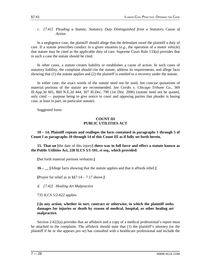# *c. [7.41] Pleading a Statute; Statutory Duty Distinguished from a Statutory Cause of Action*

In a negligence case, the plaintiff should allege that the defendant owed the plaintiff a duty of care. If a statute prescribes conduct in a given situation (*e.g.,* the operation of a motor vehicle) that statute may be cited as the applicable duty of care. Supreme Court Rule 133(a) provides that in such a case the statute should be cited.

In other cases, a statute creates liability or establishes a cause of action. In such cases of statutory liability, the complaint should cite the statute, address its requirements, and allege facts showing that (1) the statute applies and (2) the plaintiff is entitled to a recovery under the statute.

In either case, the exact words of the statute need not be used, but concise quotations of material portions of the statute are recommended. *See Cordts v. Chicago Tribune Co.,* 369 Ill.App.3d 601, 860 N.E.2d 444, 307 Ill.Dec. 790 (1st Dist. 2006) (statute need not be quoted, only cited — purpose being to give notice to court and opposing parties that pleader is basing case, at least in part, on particular statute).

Suggested form:

# **COUNT III PUBLIC UTILITIES ACT**

**10 – 14. Plaintiff repeats and realleges the facts contained in paragraphs 1 through 5 of Count I as paragraphs 10 through 14 of this Count III as if fully set forth herein.**

**15. That on [**the date of this injury**] there was in full force and effect a statute known as the Public Utilities Act, 220 ILCS 5/1-101,** *et seq.,* **which provided:**

**[**Set forth material portions verbatim.**]**

**16 – \_\_ [**Allege facts showing that the statute applies and that it affords relief.**]**

**[**Prayer for relief as in §§7.14 – 7.17 above.**]**

*d. [7.42] Healing Art Malpractice*

735 ILCS 5/2-622 applies

# **[**i**]n any action, whether in tort, contract or otherwise, in which the plaintiff seeks damages for injuries or death by reason of medical, hospital, or other healing art malpractice.**

Section 2-622(a) provides that an affidavit and a copy of a medical professional's report must be attached to the complaint. The affidavit should state that (1) the plaintiff's attorney (or the plaintiff if he or she appears pro se) has consulted with a healthcare professional and include the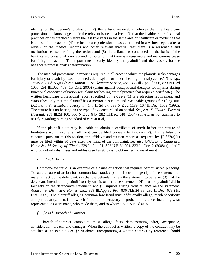identity of that person's profession; (2) the affiant reasonably believes that the healthcare professional is knowledgeable in the relevant issues involved; (3) that the healthcare professional practices or has practiced within the last five years in the same area of healthcare or medicine that is at issue in the action; (4) the healthcare professional has determined in a written report after a review of the medical records and other relevant material that there is a reasonable and meritorious cause for filing the action; and (5) the affiant has concluded on the basis of the healthcare professional's review and consultation that there is a reasonable and meritorious cause for filing the action. The report must clearly identify the plaintiff and the reasons for the healthcare professional's determination.

The medical professional's report is required in all cases in which the plaintiff seeks damages for injury or death by reason of medical, hospital, or other "healing art malpractice." *See, e.g., Jackson v. Chicago Classic Janitorial & Cleaning Service, Inc.,* 355 Ill.App.3d 906, 823 N.E.2d 1055, 291 Ill.Dec. 469 (1st Dist. 2005) (claim against occupational therapist for injuries during functional capacity evaluation was claim for healing art malpractice that required certificate). The written healthcare professional report specified by  $\S2-622(a)(1)$  is a pleading requirement and establishes only that the plaintiff has a meritorious claim and reasonable grounds for filing suit. *DeLuna v. St. Elizabeth's Hospital,* 147 Ill.2d 57, 588 N.E.2d 1139, 167 Ill.Dec. 1009 (1992). The statute has no bearing on the type of evidence relied on at trial. *See, e.g., Sullivan v. Edward Hospital,* 209 Ill.2d 100, 806 N.E.2d 645, 282 Ill.Dec. 348 (2004) (physician not qualified to testify regarding nursing standard of care at trial).

If the plaintiff's attorney is unable to obtain a certificate of merit before the statute of limitations would expire, an affidavit can be filed pursuant to  $\S2-622(a)(2)$ . If an affidavit is executed pursuant to this section, the affidavit and written report as required by  $\S2-622(a)(1)$ must be filed within 90 days after the filing of the complaint. *See also O'Casek v. Children's Home & Aid Society of Illinois,* 229 Ill.2d 421, 892 N.E.2d 994, 323 Ill.Dec. 2 (2008) (plaintiff who voluntarily dismisses and refiles case has 90 days to obtain certificate of merit).

# *e. [7.43] Fraud*

Common-law fraud is an example of a cause of action that requires particularized pleading. To state a cause of action for common-law fraud, a plaintiff must allege (1) a false statement of material fact by the defendant, (2) that the defendant knew the statement to be false, (3) that the defendant intended the plaintiff to rely on his or her false statement, (4) that the plaintiff did in fact rely on the defendant's statement, and (5) injuries arising from reliance on the statement. *Addison v. Distinctive Homes, Ltd.,* 359 Ill.App.3d 997, 836 N.E.2d 88, 296 Ill.Dec. 673 (1st Dist. 2005). The plaintiff alleging common-law fraud must additionally allege, "with specificity and particularity, facts from which fraud is the necessary or probable inference, including what representations were made, who made them, and to whom." 836 N.E.2d at 92.

# *f. [7.44] Breach of Contract*

A breach-of-contract complaint must allege facts demonstrating offer, acceptance, consideration, breach, and damages. When the contract is written, a copy of the contract may be attached as an exhibit. See §7.20 above. Incorporating a written contract by reference should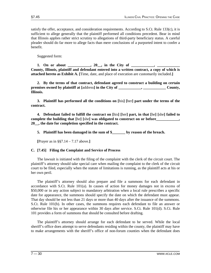satisfy the offer, acceptance, and consideration requirements. According to S.Ct. Rule 133(c), it is sufficient to allege generally that the plaintiff performed all conditions precedent. Bear in mind that Illinois applies rather strict scrutiny to allegations of third-party beneficiary status. A careful pleader should do far more to allege facts than mere conclusions of a purported intent to confer a benefit.

Suggested form:

1. On or about \_\_\_\_\_\_\_\_\_, 20\_, in the City of \_\_\_\_\_\_\_ **County, Illinois, plaintiff and defendant entered into a written contract, a copy of which is attached hereto as Exhibit A. [**Time, date, and place of execution are customarily included.**]**

**2. By the terms of that contract, defendant agreed to construct a building on certain premises owned by plaintiff at [address] in the City of**  $\qquad \qquad$ **,**  $\qquad \qquad$  **County, Illinois.**

**3. Plaintiff has performed all the conditions on [**his**] [**her**] part under the terms of the contract.**

**4. Defendant failed to fulfill the contract on [**his**] [**her**] part, in that [**he**] [**she**] failed to complete the building that [**he**] [**she**] was obligated to construct on or before\_\_\_\_\_\_\_\_\_\_\_\_, 20\_\_, the date for completion specified in the contract.**

**5. Plaintiff has been damaged in the sum of \$\_\_\_\_\_\_\_ by reason of the breach.**

**[**Prayer as in §§7.14 – 7.17 above.**]**

# **C. [7.45] Filing the Complaint and Service of Process**

The lawsuit is initiated with the filing of the complaint with the clerk of the circuit court. The plaintiff's attorney should take special care when mailing the complaint to the clerk of the circuit court to be filed, especially when the statute of limitations is running, as the plaintiff acts at his or her own peril.

The plaintiff's attorney should also prepare and file a summons for each defendant in accordance with S.Ct. Rule  $101(a)$ . In causes of action for money damages not in excess of \$50,000 or in any action subject to mandatory arbitration when a local rule prescribes a specific date for appearance, the summons should specify the date on which the defendant must appear. That day should be not less than 21 days or more than 40 days after the issuance of the summons. S.Ct. Rule 101(b). In other cases, the summons requires each defendant to file an answer or otherwise file his or her appearance within 30 days after service. S.Ct. Rule 101(d). S.Ct. Rule 101 provides a form of summons that should be consulted before drafting.

The plaintiff's attorney should arrange for each defendant to be served. While the local sheriff's office does attempt to serve defendants residing within the county, the plaintiff may have to make arrangements with the sheriff's office of non-forum counties when the defendant does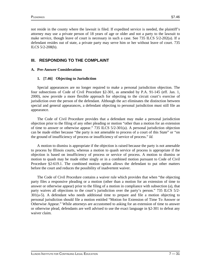not reside in the county where the lawsuit is filed. If expedited service is needed, the plaintiff's attorney may use a private person of 18 years of age or older and not a party to the lawsuit to make service, though leave of court is necessary in such a case. See 735 ILCS 5/2-202(a). If a defendant resides out of state, a private party may serve him or her without leave of court. 735 ILCS 5/2-208(b).

# **III. RESPONDING TO THE COMPLAINT**

# **A. Pre-Answer Considerations**

# **1. [7.46] Objecting to Jurisdiction**

Special appearances are no longer required to make a personal jurisdiction objection. The four subsections of Code of Civil Procedure §2-301, as amended by P.A. 91-145 (eff. Jan. 1, 2000), now provide a more flexible approach for objecting to the circuit court's exercise of jurisdiction over the person of the defendant. Although the act eliminates the distinction between special and general appearances, a defendant objecting to personal jurisdiction must still file an appearance.

The Code of Civil Procedure provides that a defendant may make a personal jurisdiction objection prior to the filing of any other pleading or motion "other than a motion for an extension of time to answer or otherwise appear." 735 ILCS 5/2-301(a). A personal jurisdiction objection can be made either because "the party is not amenable to process of a court of this State" or "on the ground of insufficiency of process or insufficiency of service of process." *Id.*

A motion to dismiss is appropriate if the objection is raised because the party is not amenable to process by Illinois courts, whereas a motion to quash service of process is appropriate if the objection is based on insufficiency of process or service of process. A motion to dismiss or motion to quash may be made either singly or in a combined motion pursuant to Code of Civil Procedure §2-619.1. The combined motion option allows the defendant to put other matters before the court and reduces the possibility of inadvertent waiver.

The Code of Civil Procedure contains a waiver rule which provides that when "the objecting party files a responsive pleading or a motion (other than a motion for an extension of time to answer or otherwise appear) prior to the filing of a motion in compliance with subsection (a), that party waives all objections to the court's jurisdiction over the party's person." 735 ILCS 5/2- 301(a-5). A defendant who needs additional time to prepare and file a motion objecting to personal jurisdiction should file a motion entitled "Motion for Extension of Time To Answer or Otherwise Appear." While attorneys are accustomed to asking for an extension of time to answer or otherwise plead, defendants are well advised to use the exact language in §2-301 to defeat any waiver claim.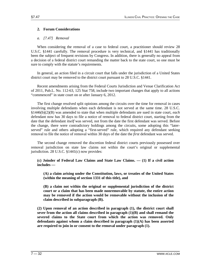# **2. Forum Considerations**

# *a. [7.47] Removal*

When considering the removal of a case to federal court, a practitioner should review 28 U.S.C. §1441 carefully. The removal procedure is very technical, and §1441 has traditionally been the subject of frequent revisions by Congress. In addition, there is generally no appeal from a decision of a federal district court remanding the matter back to the state court, so one must be sure to comply with the statute's requirements.

In general, an action filed in a circuit court that falls under the jurisdiction of a United States district court may be removed to the district court pursuant to 28 U.S.C. §1441.

Recent amendments arising from the Federal Courts Jurisdiction and Venue Clarification Act of 2011, Pub.L. No. 112-63, 125 Stat 758, include two important changes that apply to all actions "commenced" in state court on or after January 6, 2012.

The first change resolved split opinions among the circuits over the time for removal in cases involving multiple defendants when each defendant is not served at the same time. 28 U.S.C. §1446(b)(2)(B) was amended to state that when multiple defendants are sued in state court, *each*  defendant now has 30 days to file a notice of removal to federal district court, starting from the date that the defendant *itself* was served, not from the date the first defendant was served. Before the change, there were contradictory holdings among the circuits, some adopting this "laterserved" rule and others adopting a "first-served" rule, which required any defendant seeking removal to file the notice of removal within 30 days of the date the *first* defendant was served.

The second change removed the discretion federal district courts previously possessed over removal jurisdiction on state law claims not within the court's original or supplemental jurisdiction. 28 U.S.C. §1441(c) now provides:

**(c) Joinder of Federal Law Claims and State Law Claims. — (1) If a civil action includes —**

**(A) a claim arising under the Constitution, laws, or treaties of the United States (within the meaning of section 1331 of this title), and**

**(B) a claim not within the original or supplemental jurisdiction of the district court or a claim that has been made nonremovable by statute, the entire action may be removed if the action would be removable without the inclusion of the claim described in subparagraph (B).**

**(2) Upon removal of an action described in paragraph (1), the district court shall sever from the action all claims described in paragraph (1)(B) and shall remand the severed claims to the State court from which the action was removed. Only defendants against whom a claim described in paragraph (1)(A) has been asserted are required to join in or consent to the removal under paragraph (1).**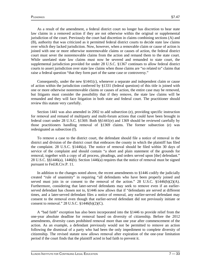As a result of the amendment, a federal district court no longer has discretion to hear state law claims in a removed action if they are not otherwise within the original or supplemental jurisdiction of the court. Previously the court had discretion in claims combining sections (A) and (B), authority that was criticized as it permitted federal district courts to decide state law claims over which they lacked jurisdiction. Now, however, when a removable claim or cause of action is joined with one or more otherwise nonremovable claims or causes of action, the federal district court must sever the nonremovable claims from the action and remand them to the state court. While unrelated state law claims must now be severed and remanded to state court, the supplemental jurisdiction provided for under 28 U.S.C. §1367 continues to allow federal district courts to assert jurisdiction over state law claims when those claims are "so related to" claims that raise a federal question "that they form part of the same case or controversy."

Consequently, under the new  $\S 1441(c)$ , whenever a separate and independent claim or cause of action within the jurisdiction conferred by §1331 (federal question) of this title is joined with one or more otherwise nonremovable claims or causes of action, the entire case may be removed, but litigants must consider the possibility that if they remove, the state law claims will be remanded and they will face litigation in both state and federal court. The practitioner should review this statute very carefully.

Section 1441 was also amended in 2002 to add subsection (e), providing specific instruction for removal and remand of multiparty and multi-forum actions that could have been brought in federal court under 28 U.S.C. §1369. Both §§1441(e) and 1369 should be reviewed carefully by those practitioners handling removal of §1369 claims. The former subsection (e) was redesignated as subsection (f).

To remove a case to the district court, the defendant should file a notice of removal in the district and division of the district court that embraces the county in which the plaintiff has filed the complaint. 28 U.S.C. §1446(a). The notice of removal should be filed within 30 days of service of the complaint and should contain "a short and plain statement of the grounds for removal, together with a copy of all process, pleadings, and orders served upon [the] defendant." 28 U.S.C. §§1446(a), 1446(b). Section 1446(a) requires that the notice of removal must be signed pursuant to Fed.R.Civ.P. 11.

In addition to the changes noted above, the recent amendments to §1446 codify the judicially created "rule of unanimity" in requiring "all defendants who have been properly joined and served must join in or consent to the removal of the action." 28 U.S.C.  $\S 1446(b)(2)(A)$ . Furthermore, considering that later-served defendants may seek to remove even if an earlierserved defendant has chosen not to, §1446 now allows that if "defendants are served at different times, and a later-served defendant files a notice of removal, any earlier-served defendant may consent to the removal even though that earlier-served defendant did not previously initiate or consent to removal."  $28$  U.S.C.  $$1446(b)(2)(C)$ .

A "bad faith" exception has also been incorporated into the §1446 to provide relief from the one-year absolute deadline for removal based on diversity of citizenship. Before the 2012 amendments, diversity cases prohibited removal more than one year after commencement of the action. As an example, a defendant previously would not be permitted to remove an action following the dismissal of a party who had been the only impediment to complete diversity of citizenship. The revised statute now allows removal after expiration of the one-year limitation period if the court finds that the plaintiff acted in bad faith to prevent it.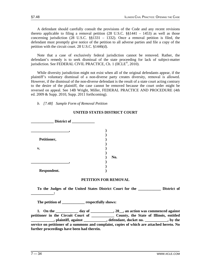A defendant should carefully consult the provisions of the Code and any recent revisions thereto applicable to filing a removal petition  $(28 \text{ U.S.C. }$  \$\$1441 – 1453) as well as those concerning jurisdiction (28 U.S.C. §§1331 – 1332). Once a removal petition is filed, the defendant must promptly give notice of the petition to all adverse parties and file a copy of the petition with the circuit court. 28 U.S.C. §1446(d).

Note that a case of exclusively federal jurisdiction cannot be removed. Rather, the defendant's remedy is to seek dismissal of the state proceeding for lack of subject-matter jurisdiction. See FEDERAL CIVIL PRACTICE, Ch. 1 (IICLE®, 2010).

While diversity jurisdiction might not exist when all of the original defendants appear, if the plaintiff's voluntary dismissal of a non-diverse party creates diversity, removal is allowed. However, if the dismissal of the non-diverse defendant is the result of a state court acting contrary to the desire of the plaintiff, the case cannot be removed because the court order might be reversed on appeal. See 14B Wright, Miller, FEDERAL PRACTICE AND PROCEDURE (4th ed. 2009 & Supp. 2010, Supp. 2011 forthcoming).

*b. [7.48] Sample Form of Removal Petition*

| District of    |     |
|----------------|-----|
|                |     |
|                |     |
| Petitioner,    |     |
|                |     |
| $\mathbf{v}$ . |     |
|                |     |
|                | No. |
|                |     |
|                |     |
| Respondent.    |     |

# **UNITED STATES DISTRICT COURT**

# **PETITION FOR REMOVAL**

**To the Judges of the United States District Court for the \_\_\_\_\_\_\_\_\_\_\_\_ District of** 

**The petition of \_\_\_\_\_\_\_\_\_\_\_\_ respectfully shows:**

**1. On the \_\_\_\_\_\_\_\_\_\_\_\_ day of \_\_\_\_\_\_\_\_\_\_\_\_, 20\_\_, an action was commenced against**  petitioner in the Circuit Court of **Latitude 2016** County, the State of Illinois, entitled **LECTE**, plaintiff, against **LECTE**, defendant, docket no. **service on petitioner of a summons and complaint, copies of which are attached hereto. No further proceedings have been had therein.**

**\_\_\_\_\_\_\_\_\_\_\_\_:**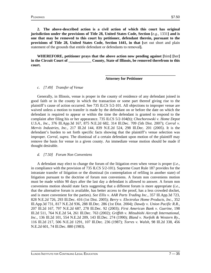**2. The above-described action is a civil action of which this court has original jurisdiction under the provisions of Title 28, United States Code, Section [***e.g.,* 1331**] and is one that may be removed to this court by petitioner, defendant therein, pursuant to the provisions of Title 28, United States Code, Section 1441, in that [**set out short and plain statement of the grounds that entitle defendant or defendants to removal**].**

**WHEREFORE, petitioner prays that the above action now pending against [**him**] [**her**] in the Circuit Court of \_\_\_\_\_\_\_\_\_\_\_\_ County, State of Illinois, be removed therefrom to this court.**

**Attorney for Petitioner**

**\_\_\_\_\_\_\_\_\_\_\_\_\_\_\_\_\_\_\_\_\_\_\_\_\_\_\_\_\_\_\_\_\_\_\_\_\_**

*c. [7.49] Transfer of Venue*

Generally, in Illinois, venue is proper in the county of residence of any defendant joined in good faith or in the county in which the transaction or some part thereof giving rise to the plaintiff's cause of action occurred. See 735 ILCS 5/2-101. All objections to improper venue are waived unless a motion to transfer is made by the defendant on or before the date on which the defendant is required to appear or within the time the defendant is granted to respond to the complaint after filing his or her appearance. 735 ILCS 5/2-104(b); *Chochorowski v. Home Depot U.S.A., Inc.,* 376 Ill.App.3d 167, 875 N.E.2d 682, 314 Ill.Dec. 709 (5th Dist. 2007); *Corral v. Mervis Industries, Inc.,* 217 Ill.2d 144, 839 N.E.2d 524, 298 Ill.Dec. 201 (2005). It is the defendant's burden to set forth specific facts showing that the plaintiff's venue selection was improper. *Corral, supra.* The dismissal of a certain defendant upon motion of the plaintiff may remove the basis for venue in a given county. An immediate venue motion should be made if thought desirable.

# *d. [7.50] Forum Non Conveniens*

A defendant may elect to change the forum of the litigation even when venue is proper (*i.e.,* in compliance with the provision of 735 ILCS 5/2-101). Supreme Court Rule 187 provides for the intrastate transfer of litigation or the dismissal (in contemplation of refiling in another state) of litigation pursuant to the doctrine of forum non conveniens. A forum non conveniens motion must be made within 90 days after the last day a defendant is allowed to answer. A forum non conveniens motion should state facts suggesting that a different forum is more appropriate (*i.e.,* that the alternative forum is available, has better access to the proof, has a less crowded docket, and is more convenient for the parties). *See Ellis v. AAR Parts Trading Inc.,* 357 Ill.App.3d 723, 828 N.E.2d 726, 293 Ill.Dec. 416 (1st Dist. 2005); *Berry v. Electrolux Home Products, Inc.,* 352 Ill.App.3d 731, 817 N.E.2d 936, 288 Ill.Dec. 286 (1st Dist. 2004); *Dawdy v. Union Pacific R.R.,* 207 Ill.2d 167, 797 N.E.2d 687, 278 Ill.Dec. 92 (2003); *First American Bank v. Guerine,* 198 Ill.2d 511, 764 N.E.2d 54, 261 Ill.Dec. 763 (2002); *Griffith v. Mitsubishi Aircraft International, Inc.,* 136 Ill.2d 101, 554 N.E.2d 209, 143 Ill.Dec. 274 (1990); *Bland v. Norfolk & Western Ry.,* 116 Ill.2d 217, 506 N.E.2d 1291, 107 Ill.Dec. 236 (1987); *Torres v. Walsh,* 98 Ill.2d 338, 456 N.E.2d 601, 74 Ill.Dec. 880 (1983).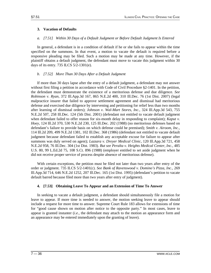# **3. Vacation of Defaults**

# *a. [7.51] Within 30 Days of a Default Judgment or Before Default Judgment Is Entered*

In general, a defendant is in a condition of default if he or she fails to appear within the time specified on the summons. In that event, a motion to vacate the default is required before a responsive pleading may be filed. Such a motion may be made at any time. However, if the plaintiff obtains a default judgment, the defendant must move to vacate this judgment within 30 days of its entry. 735 ILCS 5/2-1301(e).

# *b. [7.52] More Than 30 Days After a Default Judgment*

If more than 30 days lapse after the entry of a default judgment, a defendant may not answer without first filing a petition in accordance with Code of Civil Procedure §2-1401. In the petition, the defendant must demonstrate the existence of a meritorious defense and due diligence. *See Robinson v. Ryan,* 372 Ill.App.3d 167, 865 N.E.2d 400, 310 Ill.Dec. 76 (1st Dist. 2007) (legal malpractice insurer that failed to approve settlement agreement and dismissal had meritorious defense and exercised due diligence by intervening and petitioning for relief less than two months after learning of dismissal orders); *Johnson v. Wal-Mart Stores, Inc.,* 324 Ill.App.3d 543, 755 N.E.2d 507, 258 Ill.Dec. 124 (5th Dist. 2001) (defendant not entitled to vacate default judgment when defendant failed to offer reason for six-month delay in responding to complaint); *Kaput v. Hoey,* 124 Ill.2d 370, 530 N.E.2d 230, 125 Ill.Dec. 202 (1988) (no meritorious defenses based on defendant's failure to provide basis on which defense could be premised); *Smith v. Airoom, Inc.,* 114 Ill.2d 209, 499 N.E.2d 1381, 102 Ill.Dec. 368 (1986) (defendant not entitled to vacate default judgment because defendant failed to establish any acceptable excuse for failure to appear after summons was duly served on agent); *Lazzara v. Dreyer Medical Clinic,* 120 Ill.App.3d 721, 458 N.E.2d 958, 76 Ill.Dec. 304 (1st Dist. 1983). *But see Peralta v. Heights Medical Center, Inc.,* 485 U.S. 80, 99 L.Ed.2d 75, 108 S.Ct. 896 (1988) (employer entitled to set aside judgment when he did not receive proper service of process despite absence of meritorious defense).

With certain exceptions, the petition must be filed not later than two years after entry of the order or judgment. 735 ILCS 5/2-1401(c). *See Bank of Ravenswood v. Domino's Pizza, Inc.,* 269 Ill.App.3d 714, 646 N.E.2d 1252, 207 Ill.Dec. 165 (1st Dist. 1995) (defendant's petition to vacate default barred because filed more than two years after entry of judgment).

# **4. [7.53] Obtaining Leave To Appear and an Extension of Time To Answer**

In seeking to vacate a default judgment, a defendant should simultaneously file a motion for leave to appear. If more time is needed to answer, the motion seeking leave to appear should include a request for more time to answer. Supreme Court Rule 183 allows for extensions of time for "good cause shown on motion after notice to the opposite party." In most cases, leave to appear is granted instanter (*i.e.,* the defendant may attach to the motion an appearance form and an appearance may be entered immediately upon the granting of leave).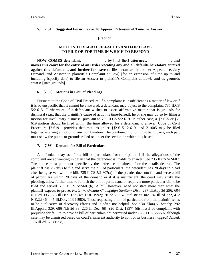# **5. [7.54] Suggested Form: Leave To Appear, Extension of Time To Answer**

**[**Caption**]**

# **MOTION TO VACATE DEFAULTS AND FOR LEAVE TO FILE OR FOR TIME IN WHICH TO RESPOND**

**NOW COMES defendant, \_\_\_\_\_\_\_\_\_\_\_\_, by [**his**] [**her**] attorneys, \_\_\_\_\_\_\_\_\_\_\_\_, and moves this court for the entry of an Order vacating any and all defaults heretofore entered against this defendant, and further for leave to file instanter [**his or her Appearance, Jury Demand, and Answer to plaintiff's Complaint at Law**] [**for an extension of time up to and including (specify date) to file an Answer to plaintiff's Complaint at Law**], and as grounds states: [**state grounds**]**

# **6. [7.55] Motions in Lieu of Pleadings**

Pursuant to the Code of Civil Procedure, if a complaint is insufficient as a matter of law or if it is so unspecific that it cannot be answered, a defendant may object to the complaint. 735 ILCS 5/2-615. Furthermore, if a defendant wishes to assert affirmative matter that is grounds for dismissal (*e.g.,* that the plaintiff's cause of action is time-barred), he or she may do so by filing a motion for involuntary dismissal pursuant to 735 ILCS 5/2-619. In either case, a §2-615 or §2- 619 motion should be filed within the time allowed for a defendant to answer. Code of Civil Procedure §2-619.1 provides that motions under §§2-615, 2-619, and 2-1005 may be filed together as a single motion in any combination. The combined motion must be in parts; each part must show the points or grounds relied on under the section on which it is based.

# **7. [7.56] Demand for Bill of Particulars**

A defendant may ask for a bill of particulars from the plaintiff if the allegations of the complaint are so wanting in detail that the defendant is unable to answer. See 735 ILCS 5/2-607. The notice must point out specifically the defects complained of or the details desired. The plaintiff has 28 days to file and serve the bill of particulars; the defendant has 28 days to plead after being served with the bill. 735 ILCS 5/2-607(a). If the pleader does not file and serve a bill of particulars within 28 days of the demand or if it is insufficient, the court may strike the pleading, allow further time to furnish the bill of particulars, or require a more particular bill to be filed and served. 735 ILCS 5/2-607(b). A bill, however, need not state more than what the plaintiff expects to prove. *Porter v. Urbana-Champaign Sanitary Dist.,* 237 Ill.App.3d 296, 604 N.E.2d 393, 178 Ill.Dec. 137 (4th Dist. 1992); *Bejda v. SGL Industries, Inc.,* 82 Ill.2d 322, 412 N.E.2d 464, 45 Ill.Dec. 113 (1980). Thus, requesting a bill of particulars from the plaintiff tends to be duplicative of discovery efforts and is often not helpful. *See also Kling v. Landry,* 292 Ill.App.3d 329, 686 N.E.2d 33, 226 Ill.Dec. 684 (2d Dist. 1997) (dismissal of complaint with prejudice for failure to provide bill of particulars not permitted under 735 ILCS 5/2-607 although case may be dismissed based on court's inherent authority to control its business), *appeal denied,* 176 Ill.2d 575 (1998).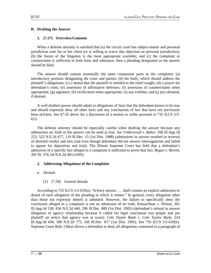# **B. Drafting the Answer**

# **1. [7.57] Overview/Contents**

When a defense attorney is satisfied that (a) the circuit court has subject-matter and personal jurisdiction over his or her client (or is willing to waive this objection on personal jurisdiction); (b) the forum of the litigation is the most appropriate available; and (c) the complaint or counterclaim is sufficient in both form and substance, then a pleading designated as the answer should be filed.

The answer should contain essentially the same component parts as the complaint: (a) introductory portions designating the court and parties; (b) the body, which should address the plaintiff's allegations; (c) a denial that the plaintiff is entitled to the relief sought; (d) a prayer for defendant's costs; (e) assertions of affirmative defenses; (f) assertions of counterclaims when appropriate; (g) signature; (h) verification when appropriate; (i) any exhibits; and (j) jury demand, if desired.

A well-drafted answer should admit to allegations of facts that the defendant knows to be true and should expressly deny all other facts and any conclusions of law that have not previously been stricken. See §7.55 above for a discussion of a motion to strike pursuant to 735 ILCS 5/2- 615.

The defense attorney should be especially careful when drafting the answer because any admissions set forth in the answer can be used at trial. *See Underwood v. Baker,* 168 Ill.App.3d 223, 522 N.E.2d 677, 119 Ill.Dec. 15 (1st Dist. 1988) (admissions in answer resulted in reversal of directed verdict and new trial even though defendant did not answer interrogatories and failed to appear for deposition and trial). The Illinois Supreme Court has held that a defendant's admission of a specific fact alleged in a complaint is sufficient to prove that fact. *Regan v. Berent,* 392 Ill. 376, 64 N.E.2d 483 (1945).

# **2. Addressing Allegations of the Complaint**

# *a. Denials*

(1) [7.58] General denials

According to 735 ILCS 5/2-610(a), "[e]very answer . . . shall contain an explicit admission or denial of each allegation of the pleading to which it relates." In general, every allegation other than those not expressly denied is admitted. However, the failure to specifically deny the conclusion alleged in a complaint is not an admission of its truth. *Knauerhaze v. Nelson,* 361 Ill.App.3d 538, 836 N.E.2d 640, 296 Ill.Dec. 889 (1st Dist. 2005) (defendant's refusal to answer allegation of agency relationship because it called for legal conclusion was proper and put plaintiff on notice that agency was at issue); *Cole Taylor Bank v. Cole Taylor Bank,* 224 Ill.App.3d 696, 586 N.E.2d 775, 166 Ill.Dec. 817 (1st Dist. 1992). See 735 ILCS 5/2-610(b). Supreme Court Rule 136(a) allows a defendant to deny all allegations contained in a paragraph of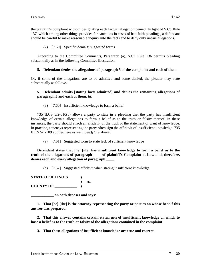the plaintiff's complaint without designating each factual allegation denied. In light of S.Ct. Rule 137, which among other things provides for sanctions in cases of bad-faith pleadings, a defendant should be careful to make reasonable inquiry into the facts and to deny only untrue allegations.

# (2) [7.59] Specific denials; suggested forms

According to the Committee Comments, Paragraph (a), S.Ct. Rule 136 permits pleading substantially as in the following Committee illustration:

# **5. Defendant denies the allegations of paragraph 5 of the complaint and each of them.**

Or, if some of the allegations are to be admitted and some denied, the pleader may state substantially as follows:

# **5. Defendant admits [stating facts admitted] and denies the remaining allegations of paragraph 5 and each of them.** *Id.*

(3) [7.60] Insufficient knowledge to form a belief

735 ILCS 5/2-610(b) allows a party to state in a pleading that the party has insufficient knowledge of certain allegations to form a belief as to the truth or falsity thereof. In these instances, the party should attach an affidavit of the truth of the statement of want of knowledge. In practice, attorneys representing the party often sign the affidavit of insufficient knowledge. 735 ILCS 5/1-109 applies here as well. See §7.19 above.

(a) [7.61] Suggested form to state lack of sufficient knowledge

**Defendant states that [**he**] [**she**] has insufficient knowledge to form a belief as to the truth of the allegations of paragraph \_\_\_\_ of plaintiff's Complaint at Law and, therefore, denies each and every allegation of paragraph \_\_\_\_.**

(b) [7.62] Suggested affidavit when stating insufficient knowledge

**STATE OF ILLINOIS ) ) ss. COUNTY OF \_\_\_\_\_\_\_\_\_\_\_\_ )**

**\_\_\_\_\_\_\_\_\_\_\_\_ on oath deposes and says:**

**1. That [**he**] [**she**] is the attorney representing the party or parties on whose behalf this answer was prepared.**

**2. That this answer contains certain statements of insufficient knowledge on which to base a belief as to the truth or falsity of the allegations contained in the complaint.**

**3. That those allegations of insufficient knowledge are true and correct.**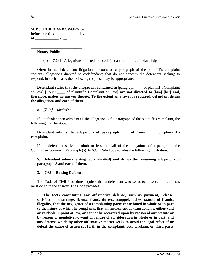# **SUBSCRIBED AND SWORN to before me this \_\_\_\_\_\_\_\_\_\_\_\_ day of \_\_\_\_\_\_\_\_\_\_\_\_, 20\_\_**

### **\_\_\_\_\_\_\_\_\_\_\_\_\_\_\_\_\_\_\_\_\_\_\_\_\_\_\_ Notary Public**

(4) [7.63] Allegations directed to a codefendant in multi-defendant litigation

Often in multi-defendant litigation, a count or a paragraph of the plaintiff's complaint contains allegations directed to codefendants that do not concern the defendant seeking to respond. In such a case, the following response may be appropriate:

**Defendant states that the allegations contained in [paragraph ] of plaintiff's Complaint** at Law**] [**Count \_\_\_\_ of plaintiff's Complaint at Law**] are not directed to [**him**] [**her**] and, therefore, makes no answer thereto. To the extent an answer is required, defendant denies the allegations and each of them.**

# *b. [7.64] Admissions*

If a defendant can admit to all the allegations of a paragraph of the plaintiff's complaint, the following may be stated:

# **Defendant admits the allegations of paragraph \_\_\_\_ of Count \_\_\_\_ of plaintiff's complaint.**

If the defendant seeks to admit to less than all of the allegations of a paragraph, the Committee Comment, Paragraph (a), to S.Ct. Rule 136 provides the following illustration:

# **5. Defendant admits [**stating facts admitted**] and denies the remaining allegations of paragraph 5 and each of them.**

# **3. [7.65] Raising Defenses**

The Code of Civil Procedure requires that a defendant who seeks to raise certain defenses must do so in the answer. The Code provides:

**The facts constituting any affirmative defense, such as payment, release, satisfaction, discharge, license, fraud, duress, estoppel, laches, statute of frauds, illegality, that the negligence of a complaining party contributed in whole or in part to the injury of which he complains, that an instrument or transaction is either void or voidable in point of law, or cannot be recovered upon by reason of any statute or by reason of nondelivery, want or failure of consideration in whole or in part, and any defense which by other affirmative matter seeks to avoid the legal effect of or defeat the cause of action set forth in the complaint, counterclaim, or third-party**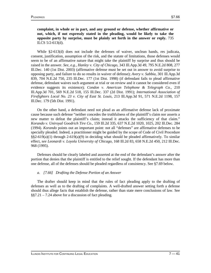**complaint, in whole or in part, and any ground or defense, whether affirmative or not, which, if not expressly stated in the pleading, would be likely to take the opposite party by surprise, must be plainly set forth in the answer or reply.** 735 ILCS 5/2-613(d).

While §2-613(d) does not include the defenses of waiver, unclean hands, res judicata, consent, justification, assumption of the risk, and the statute of limitations, those defenses would seem to be of an affirmative nature that might take the plaintiff by surprise and thus should be raised in the answer. *See, e.g., Hanley v. City of Chicago,* 343 Ill.App.3d 49, 795 N.E.2d 808, 277 Ill.Dec. 140 (1st Dist. 2003) (affirmative defense must be set out in answer to avoid surprise to opposing party, and failure to do so results in waiver of defense); *Avery v. Sabbia,* 301 Ill.App.3d 839, 704 N.E.2d 750, 235 Ill.Dec. 177 (1st Dist. 1998) (if defendant fails to plead affirmative defense, defendant waives such argument at trial or on review and it cannot be considered even if evidence suggests its existence); *Condon v. American Telephone & Telegraph Co.,* 210 Ill.App.3d 701, 569 N.E.2d 518, 155 Ill.Dec. 337 (2d Dist. 1991); *International Association of Firefighters Local No. 23 v. City of East St. Louis,* 213 Ill.App.3d 91, 571 N.E.2d 1198, 157 Ill.Dec. 179 (5th Dist. 1991).

On the other hand, a defendant need not plead as an affirmative defense lack of proximate cause because such defense "neither concedes the truthfulness of the plaintiff's claim nor asserts a new matter to defeat the plaintiff's claim; instead it attacks the sufficiency of that claim." *Korando v. Uniroyal Goodrich Tire Co.,* 159 Ill.2d 335, 637 N.E.2d 1020, 1025, 202 Ill.Dec. 284 (1994). *Korando* points out an important point: not all "defenses" are affirmative defenses to be specially pleaded. Indeed, a practitioner might be guided by the scope of Code of Civil Procedure  $\S$ §2-619(a)(1) through 2-619(a)(9) in deciding what should be pleaded affirmatively. To similar effect, *see Leonardi v. Loyola University of Chicago,* 168 Ill.2d 83, 658 N.E.2d 450, 212 Ill.Dec. 968 (1995).

Defenses should be clearly labeled and asserted at the end of the defendant's answer after the portion that denies that the plaintiff is entitled to the relief sought. If the defendant has more than one defense, all of the defenses should be pleaded regardless of consistency. See §7.69 below.

### *a. [7.66] Drafting the Defense Portion of an Answer*

The drafter should keep in mind that the rules of fact pleading apply to the drafting of defenses as well as to the drafting of complaints. A well-drafted answer setting forth a defense should thus allege facts that establish the defense, rather than state mere conclusions of law. See §§7.21 – 7.24 above for a discussion of fact pleading.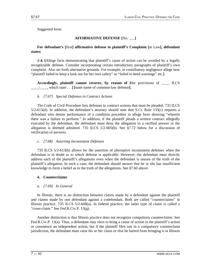Suggested form:

# **AFFIRMATIVE DEFENSE [**No. \_\_\_**]**

# **For defendant's [**first**] affirmative defense to plaintiff's Complaint [**at Law**], defendant states:**

**1-4. [**Allege facts demonstrating that plaintiff's cause of action can be avoided by a legally recognizable defense. Consider incorporating certain introductory paragraphs of plaintiff's own complaint. Also set forth alternative grounds. For example, in contributory negligence allege how "plaintiff failed to keep a look out for her own safety" or "failed to heed warnings" etc.**]**

**Accordingly, plaintiff cannot recover, by reason of [**the provisions of \_\_\_\_ ILCS \_\_\_\_/\_\_\_\_, which state . . .**] [**state name of common-law defense**].**

# *b. [7.67] Special Defenses in Contract Actions*

The Code of Civil Procedure lists defenses to contract actions that must be pleaded. 735 ILCS  $5/2-613(d)$ . In addition, the defendant's attorney should note that S.Ct. Rule 133(c) requires a defendant who denies performance of a condition precedent to allege facts showing "wherein there was a failure to perform." In addition, if the plaintiff pleads a written contract allegedly executed by the defendant, the defendant must deny the allegation in a verified answer or the allegation is deemed admitted. 735 ILCS 5/2-605(b). See §7.72 below for a discussion of verification of answers.

# *c. [7.68] Asserting Inconsistent Defenses*

735 ILCS 5/2-613(b) allows for the assertion of alternative inconsistent defenses when the defendant is in doubt as to which defense is applicable. However, the defendant must directly address each of the plaintiff's allegations even when the defendant is unsure of the truth of the plaintiff's allegation. In such a case, the defendant should answer that he or she has insufficient knowledge to form a belief as to the truth of the allegations. See §7.60 above.

# **4. Counterclaims**

# *a. [7.69] In General*

In Illinois, there is no distinction between claims made by a defendant against the plaintiff and claims made by one defendant against a codefendant. Both are called "counterclaims" in Illinois practice. 735 ILCS 5/2-608(a). In federal practice, the latter type of claim is called a "cross-claim." See Fed.R.Civ.P. 13(g).

Another distinction is that Illinois practice does not recognize compulsory counterclaims. See Fed.R.Civ.P. 13(a). Thus, a defendant may elect to bring a cause of action in the plaintiff's action or commence an independent action, but if the plaintiff files suit in a compulsory counterclaim jurisdiction, the defendant must raise his or her claim or else be barred from bringing it in Illinois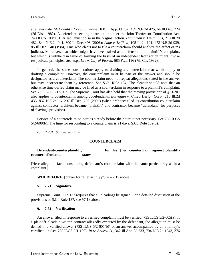at a later date. *McDonald's Corp. v. Levine,* 108 Ill.App.3d 732, 439 N.E.2d 475, 64 Ill.Dec. 224 (2d Dist. 1982). A defendant seeking contribution under the Joint Tortfeasor Contribution Act, 740 ILCS 100/0.01, *et seq.,* must do so in the original action. *Harshman v. DePhillips,* 218 Ill.2d 482, 844 N.E.2d 941, 300 Ill.Dec. 498 (2006); *Laue v. Leifheit,* 105 Ill.2d 191, 473 N.E.2d 939, 85 Ill.Dec. 340 (1984). One who elects not to file a counterclaim should analyze the effect of res judicata. Moreover, that which might have been raised as a defense to the plaintiff's complaint, but which is withheld in favor of forming the basis of an independent later action might invoke res judicata principles. *See, e.g., Lee v. City of Peoria,* 685 F.2d 196 (7th Cir. 1982).

In general, the same considerations apply to drafting a counterclaim that would apply to drafting a complaint. However, the counterclaim must be part of the answer and should be designated as a counterclaim. The counterclaim need not repeat allegations stated in the answer but may incorporate them by reference. See S.Ct. Rule 134. The pleader should note that an otherwise time-barred claim may be filed as a counterclaim in response to a plaintiff's complaint. See 735 ILCS 5/13-207. The Supreme Court has also held that the "saving provision" of §13-207 also applies to counterclaims among codefendants. *Barragan v. Casco Design Corp.,* 216 Ill.2d 435, 837 N.E.2d 16, 297 Ill.Dec. 236 (2005) (when architect filed its contribution counterclaim against contractor, architect became "plaintiff" and contractor became "defendant" for purposes of "saving" provision).

Service of a counterclaim on parties already before the court is not necessary. See 735 ILCS 5/2-608(b). The time for responding to a counterclaim is 21 days. S.Ct. Rule 182(b).

*b. [7.70] Suggested Form*

# **COUNTERCLAIM**

**Defendant-counterplaintiff, \_\_\_\_\_\_\_\_\_\_, for [**his**] [**her**] counterclaim against plaintiffcounterdefendant, \_\_\_\_\_\_\_\_\_\_, states:**

[Here allege all facts constituting defendant's counterclaim with the same particularity as in a complaint.**]**

**WHEREFORE, [**prayer for relief as in §§7.14 – 7.17 above**].**

# **5. [7.71] Signature**

Supreme Court Rule 137 requires that all pleadings be signed. For a detailed discussion of the provisions of S.Ct. Rule 137, see §7.18 above.

# **6. [7.72] Verification**

An answer filed in response to a verified complaint must be verified. 735 ILCS 5/2-605(a). If a plaintiff pleads a written contract allegedly executed by the defendant, the allegation must be denied in a verified answer (735 ILCS 5/2-605(b)) or an answer accompanied by an attorney's certification (see 735 ILCS 5/1-109). *In re Andrea D.,* 342 Ill.App.3d 233, 794 N.E.2d 1043, 276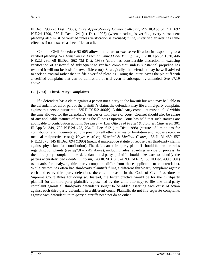Ill.Dec. 793 (2d Dist. 2003); *In re Application of County Collector,* 295 Ill.App.3d 711, 692 N.E.2d 1290, 230 Ill.Dec. 124 (1st Dist. 1998) (when pleading is verified, every subsequent pleading also must be verified unless verification is excused; filing unverified answer has same effect as if no answer has been filed at all).

Code of Civil Procedure §2-605 allows the court to excuse verification in responding to a verified pleading. *See Armstrong v. Freeman United Coal Mining Co.,* 112 Ill.App.3d 1020, 446 N.E.2d 296, 68 Ill.Dec. 562 (3d Dist. 1983) (court has considerable discretion in excusing verification of answer filed subsequent to verified complaint; unless substantial prejudice has resulted it will not be basis for reversible error). Strategically, the defendant may be well advised to seek an excusal rather than to file a verified pleading. Doing the latter leaves the plaintiff with a verified complaint that can be admissible at trial even if subsequently amended. See §7.19 above.

# **C. [7.73] Third-Party Complaints**

If a defendant has a claim against a person not a party to the lawsuit but who may be liable to the defendant for all or part of the plaintiff's claim, the defendant may file a third-party complaint against that person pursuant to 735 ILCS 5/2-406(b). A third-party complaint must be filed within the time allowed for the defendant's answer or with leave of court. Counsel should also be aware of any applicable statutes of repose as the Illinois Supreme Court has held that such statutes are applicable to contribution actions. *See Lucey v. Law Offices of Pretzel & Stouffer, Chartered,* 301 Ill.App.3d 349, 703 N.E.2d 473, 234 Ill.Dec. 612 (1st Dist. 1998) (statute of limitations for contribution and indemnity actions preempts all other statutes of limitation and repose except in medical malpractice cases); *Hayes v. Mercy Hospital & Medical Center,* 136 Ill.2d 450, 557 N.E.2d 873, 145 Ill.Dec. 894 (1990) (medical malpractice statute of repose bars third-party claims against physicians for contribution). The defendant third-party plaintiff should follow the rules regarding complaints (see  $\S$ §7.8 – 7.45 above), including rules regarding service of process. In the third-party complaint, the defendant third-party plaintiff should take care to identify the parties accurately. *See People v. Fiorini,* 143 Ill.2d 318, 574 N.E.2d 612, 158 Ill.Dec. 499 (1991) (standards for analyzing third-party complaint differ from those applicable to counterclaim). While custom has often had third-party plaintiffs filing a different third-party complaint against each and every third-party defendant, there is no reason in the Code of Civil Procedure or Supreme Court Rules for doing so. Instead, the better practice would be for the third-party plaintiff (or all third-party plaintiffs represented by the same attorney) to file one third-party complaint against all third-party defendants sought to be added, asserting each cause of action against each third-party defendant in a different count. Plaintiffs do not file separate complaints against each defendant; third-party plaintiffs need not do so either.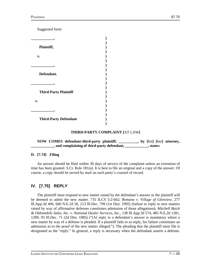Suggested form:

| Plaintiff,                   |  |
|------------------------------|--|
| v.                           |  |
|                              |  |
|                              |  |
| Defendant.                   |  |
|                              |  |
| <b>Third-Party Plaintiff</b> |  |
| v.                           |  |
|                              |  |
|                              |  |
| <b>Third-Party Defendant</b> |  |

### **THIRD-PARTY COMPLAINT [**AT LAW**]**

**NOW COMES defendant-third-party plaintiff, \_\_\_\_\_\_\_\_\_\_, by [**his**] [**her**] attorney, \_\_\_\_\_\_\_\_\_\_\_\_, and complaining of third-party defendant, \_\_\_\_\_\_\_\_\_\_\_\_, states:**

# **D. [7.74] Filing**

An answer should be filed within 30 days of service of the complaint unless an extension of time has been granted. S.Ct. Rule 181(a). It is best to file an original and a copy of the answer. Of course, a copy should be served by mail on each party's counsel of record.

# **IV. [7.75] REPLY**

The plaintiff must respond to new matter raised by the defendant's answer or the plaintiff will be deemed to admit the new matter. 735 ILCS 5/2-602; *Romano v. Village of Glenview,* 277 Ill.App.3d 406, 660 N.E.2d 56, 213 Ill.Dec. 799 (1st Dist. 1995) (failure to reply to new matters raised by way of affirmative defenses constitutes admission of those allegations); *Mitchell Buick & Oldsmobile Sales, Inc. v. National Dealer Services, Inc.,* 138 Ill.App.3d 574, 485 N.E.2d 1281, 1289, 93 Ill.Dec. 71 (2d Dist. 1985) ("[A] reply to a defendant's answer is mandatory where a new matter by way of a defense is pleaded. If a plaintiff fails to so reply, his failure constitutes an admission as to the proof of the new matter alleged."). The pleading that the plaintiff must file is designated as the "reply." In general, a reply is necessary when the defendant asserts a defense.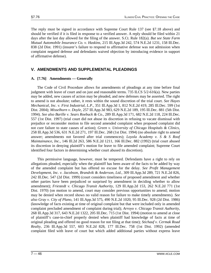The reply must be signed in accordance with Supreme Court Rule 137 (see §7.18 above) and should be verified if it is filed in response to a verified answer. A reply should be filed within 21 days after the last day allowed for the filing of the answer. S.Ct. Rule 182(a). *But see State Farm Mutual Automobile Insurance Co. v. Haskins,* 215 Ill.App.3d 242, 574 N.E.2d 1231, 158 Ill.Dec. 838 (2d Dist. 1991) (insurer's failure to respond to affirmative defense was not admission when complaint negated defense and defendants waived objection by introducing evidence in support of affirmative defense).

# **V. AMENDMENTS AND SUPPLEMENTAL PLEADINGS**

# **A. [7.76] Amendments — Generally**

The Code of Civil Procedure allows for amendments of pleadings at any time before final judgment with leave of court and on just and reasonable terms. 735 ILCS 5/2-616(a). New parties may be added, new causes of action may be pleaded, and new defenses may be asserted. The right to amend is not absolute; rather, it rests within the sound discretion of the trial court. *See Hayes Mechanical, Inc. v. First Industrial, L.P.,* 351 Ill.App.3d 1, 812 N.E.2d 419, 285 Ill.Dec. 599 (1st Dist. 2004); *Misselhorn v. Doyle,* 257 Ill.App.3d 983, 629 N.E.2d 189, 195 Ill.Dec. 881 (5th Dist. 1994). *See also Barille v. Sears Roebuck & Co.,* 289 Ill.App.3d 171, 682 N.E.2d 118, 224 Ill.Dec. 557 (1st Dist. 1997) (trial court did not abuse its discretion in refusing to vacate dismissal with prejudice or reconsider motion to file second amended complaint when proposed complaint did not cure failure to state causes of action); *Green v. University of Chicago Hospitals & Clinics,* 258 Ill.App.3d 536, 631 N.E.2d 271, 197 Ill.Dec. 268 (1st Dist. 1994) (no absolute right to amend answer; amendments not favored after trial commences); *Loyola Academy v. S & S Roof Maintainance, Inc.,* 146 Ill.2d 263, 586 N.E.2d 1211, 166 Ill.Dec. 882 (1992) (trial court abused its discretion in denying plaintiff's motion for leave to file amended complaint; Supreme Court identified four factors in determining whether court abused its discretion).

This permissive language, however, must be tempered. Defendants have a right to rely on allegations pleaded, especially when the plaintiff has been aware of the facts to be added by way of the amended complaint but has offered no excuse for the delay. *See Profit Management Development, Inc. v. Jacobson, Brandvik & Anderson, Ltd.,* 309 Ill.App.3d 289, 721 N.E.2d 826, 242 Ill.Dec. 547 (2d Dist. 1999) (court considers timeliness of proposed amendment and whether other parties have been prejudiced or surprised by amendment in deciding whether to allow amendment); *Friestedt v. Chicago Transit Authority,* 129 Ill.App.2d 153, 262 N.E.2d 771 (1st Dist. 1970) (on motion to amend, court may consider previous opportunities to amend; motion may be denied when record shows no valid reason for failure to make timely amendments). *See also Gray v. City of Plano,* 141 Ill.App.3d 575, 490 N.E.2d 1020, 95 Ill.Dec. 928 (2d Dist. 1986) (knowledge of facts existing at time of original complaint but that were included only in amended complaint precluded amendment of complaint during trial); *Arroyo v. Chicago Transit Authority,* 268 Ill.App.3d 317, 643 N.E.2d 1322, 205 Ill.Dec. 715 (1st Dist. 1994) (motion to amend at close of plaintiff's case-in-chief properly denied when plaintiff had knowledge of facts at time of original pleading and offered no good reason for not filing at that time); *Stichauf v. Cermak Road Realty,* 236 Ill.App.3d 557, 603 N.E.2d 828, 177 Ill.Dec. 758 (1st Dist. 1992) (amended complaint filed with leave of court but which added additional parties without express leave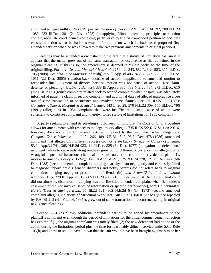amounted to legal nullity); *In re Purported Election of Durkin,* 299 Ill.App.3d 192, 700 N.E.2d 1089, 233 Ill.Dec. 381 (2d Dist. 1998) (in applying Illinois' pleading principles to election contest, appellate court denied contesting party leave to file first amended petition to add new causes of action when he had possessed information on which he had based proposed first amended petition when he was allowed to make two previous amendments to original petition).

Pleadings may be amended notwithstanding the fact that a statute of limitation has run if it appears that the matter grew out of the same transaction or occurrence as that contained in the original pleading. If this is so, the amendment is deemed to "relate back" to the time of the original filing. *Porter v. Decatur Memorial Hospital,* 227 Ill.2d 343, 882 N.E.2d 583, 317 Ill.Dec. 703 (2008). *See also In re Marriage of Wolff,* 355 Ill.App.3d 403, 822 N.E.2d 596, 290 Ill.Dec. 1011 (2d Dist. 2005) (relation-back doctrine of action inapplicable to amended motion to reconsider final judgment of divorce because motion was not cause of action, cross-claim, defense, or pleading); *Castro v. Bellucci,* 338 Ill.App.3d 386, 789 N.E.2d 784, 273 Ill.Dec. 610 (1st Dist. 2003) (fourth complaint related back to second complaint when hospital was adequately informed of patient's claim in second complaint and additional dates of alleged malpractice arose out of same transaction or occurrence and involved same claims). See 735 ILCS 5/2-616(b); *Gonzalez v. Thorek Hospital & Medical Center,* 143 Ill.2d 28, 570 N.E.2d 309, 155 Ill.Dec. 796 (1991) (allegations in 1984 complaint that were insufficient to state cause of action were sufficient to constitute complaint and, thereby, tolled statute of limitations for 1985 complaint).

A party seeking to amend its pleading should keep in mind that the Code of Civil Procedure allows for amendments with respect to the legal theory alleged. 735 ILCS 5/2-616. Section 2-616, however, does not allow for amendments with respect to the particular factual allegations. *Compare Zeh v. Wheeler,* 111 Ill.2d 266, 489 N.E.2d 1342, 95 Ill.Dec. 478 (1986) (amended complaint that alleged only different address did not relate back); *Smetzer v. County of LaSalle,* 53 Ill.App.3d 741, 368 N.E.2d 933, 11 Ill.Dec. 325 (3d Dist. 1977) (allegations of defendants' negligent failure to cut weeds along roadway grew out of different occurrence than allegations of wrongful deposit of hazardous chemical on state route; trial court properly denied plaintiff's motion to amend); *Bailey v. Petroff,* 170 Ill.App.3d 791, 525 N.E.2d 278, 121 Ill.Dec. 472 (5th Dist. 1988) (second amended complaint alleging that physician negligently and carelessly failed to diagnose unborn child's genetic disorders and notify parents did not relate back to original complaints alleging negligent prescription of Bendectin), *and Braun-Skiba, Ltd. v. LaSalle National Bank,* 279 Ill.App.3d 912, 665 N.E.2d 485, 216 Ill.Dec. 425 (1st Dist. 1996) (trial court did not abuse its discretion in denying leave to file third amended complaint when lienholder's case-in-chief did not involve issues of reformation or specific performance), *with Halberstadt v. Harris Trust & Savings Bank,* 55 Ill.2d 121, 302 N.E.2d 64 (Ill. 1973) (second amended complaint alleging violations of Structural Work Act, 740 ILCS 150/0.01, *et seq.* (since repealed by P.A. 89-2, 5 (eff. Feb. 14, 1995)), grew out of same transaction or occurrence set up in original negligence pleading).

Section 2-616(d) allows additional defendant parties to be added by amendment to the plaintiff's complaint even though the period of limitations for the initial commencement of action has expired if (1) the original complaint was timely filed; (2) the new defendant had notice of the action during the limitations period plus the time for reasonably diligent service under S.Ct. Rule 103(b) and knew or should have known that the suit would have been brought against him or her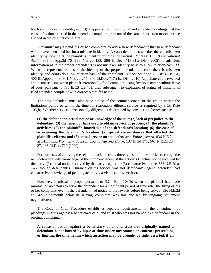but for a mistake in identity; and (3) it appears from the original and amended pleadings that the cause of action asserted in the amended complaint grew out of the same transaction or occurrence alleged in the original complaint.

A plaintiff may amend his or her complaint to add a new defendant if that new defendant would have been sued but for a mistake in identity. A court determines whether there is mistaken identity by looking at the plaintiff's intent in bringing the lawsuit. *Polites v. U.S. Bank National Ass'n,* 361 Ill.App.3d 76, 836 N.E.2d 133, 296 Ill.Dec. 718 (1st Dist. 2005). Insufficient information as to the proper defendants is not mistaken identity so as to allow relation-back. *Id.* When misrepresentations as to the identity of the proper defendants occurs, there is mistaken identity, and courts do allow relation-back of the complaint. *But see Santiago v. E.W. Bliss Co.,* 406 Ill.App.3d 449, 941 N.E.2d 275, 346 Ill.Dec. 717 (1st Dist. 2010) (appellate court reversed and dismissed suit when plaintiff intentionally filed complaint using fictitious name without leave of court pursuant to 735 ILCS 5/2-401, then subsequent to expiration of statute of limitations, filed amended complaint with correct plaintiff's name).

The new defendant must also have notice of the commencement of the action within the limitations period or within the time for reasonably diligent service as required by S.Ct. Rule 103(b). Whether service is "reasonably diligent" is determined by considering factors such as

**(1) the defendant's actual notice or knowledge of the suit; (2) lack of prejudice to the defendant; (3) the length of time used to obtain service of process; (4) the plaintiff's activities; (5) the plaintiff's knowledge of the defendant's location; (6) the ease of ascertaining the defendant's location; (7) special circumstances that affected the plaintiff's efforts; and (8) actual service on the defendant.** *Polites, supra,* 836 N.E.2d at 141, citing *Womick v. Jackson County Nursing Home,* 137 Ill.2d 371, 561 N.E.2d 25, 27, 148 Ill.Dec. 719 (1990).

For purposes of applying the relation-back doctrine, three types of notice suffice to charge the new defendant with knowledge of the commencement of the action: (1) actual notice received by the party; (2) actual notice received by the party's agent; or (3) constructive notice. 836 N.E.2d at 143 (though defendant's insurance claims service was not defendant's agent, defendant had constructive knowledge of pending action vis-à-vis its claims service).

However, dismissal is proper pursuant to S.Ct. Rule 103(b) when the plaintiff has made minimal or no efforts to serve the defendant for a significant period of time after the filing of his or her complaint, even if the defendant had notice of the lawsuit before being served. 836 N.E.2d at 142 (nine-month delay in serving complaint was not excused by ongoing settlement negotiations).

The Code of Civil Procedure establishes separate requirements for the amendment of pleadings in suits against a beneficiary of a land trust who was not named as a defendant in the original complaint.

**A cause of action against a beneficiary of a land trust not originally named a defendant is not barred by lapse of time under any statute or contract prescribing or limiting the time within which an action may be brought or right asserted, if all**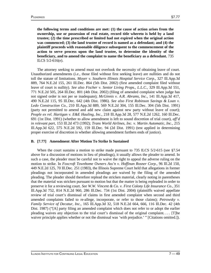**the following terms and conditions are met: (1) the cause of action arises from the ownership, use or possession of real estate, record title whereto is held by a land trustee; (2) the time prescribed or limited had not expired when the original action was commenced; (3) the land trustee of record is named as a defendant; and (4) the plaintiff proceeds with reasonable diligence subsequent to the commencement of the action to serve process upon the land trustee, to determine the identity of the beneficiary, and to amend the complaint to name the beneficiary as a defendant.** 735 ILCS 5/2-616(e).

The attorney seeking to amend must not overlook the necessity of obtaining leave of court. Unauthorized amendments (*i.e.,* those filed without first seeking leave) are nullities and do not toll the statute of limitations. *Moyer v. Southern Illinois Hospital Service Corp.,* 327 Ill.App.3d 889, 764 N.E.2d 155, 261 Ill.Dec. 864 (5th Dist. 2002) (first amended complaint filed without leave of court is nullity). *See also Fischer v. Senior Living Props., L.L.C.,* 329 Ill.App.3d 551, 771 N.E.2d 505, 264 Ill.Dec. 801 (4th Dist. 2002) (filing of amended complaint when judge has not signed order is not per se inadequate); *McGinnis v. A.R. Abrams, Inc.,* 141 Ill.App.3d 417, 490 N.E.2d 115, 95 Ill.Dec. 642 (4th Dist. 1986). *See also First Robinson Savings & Loan v. Ledo Construction Co.,* 210 Ill.App.3d 889, 569 N.E.2d 304, 155 Ill.Dec. 304 (5th Dist. 1991) (party not permitted to amend and add new claim against new party without leave of court); *People ex rel. Hartigan v. E&E Hauling, Inc.,* 218 Ill.App.3d 28, 577 N.E.2d 1262, 160 Ill.Dec. 691 (1st Dist. 1991) (whether to allow amendment is left to sound discretion of trial court), *aff'd in relevant part,* 153 Ill.2d 473 (1992); *Trans World Airlines, Inc. v. Martin Automatic, Inc.,* 215 Ill.App.3d 622, 575 N.E.2d 592, 159 Ill.Dec. 94 (2d Dist. 1991) (test applied in determining proper exercise of discretion is whether allowing amendment furthers ends of justice).

# **B. [7.77] Amendment After Motion To Strike Is Sustained**

When the court sustains a motion to strike made pursuant to 735 ILCS 5/2-615 (see §7.54) above for a discussion of motions in lieu of pleadings), it usually allows the pleader to amend. In such a case, the pleader must be careful not to waive the right to appeal the adverse ruling on the motion to strike. In *Foxcroft Townhome Owners Ass'n v. Hoffinan Rosner Corp.,* 96 Ill.2d 150, 449 N.E.2d 125, 70 Ill.Dec. 251 (1983), the Illinois Supreme Court held that allegations in former pleadings not incorporated in amended pleadings are waived by the filing of the amended pleading. The pleader should therefore replead the stricken material, clearly noting in parentheses that the material was stricken pursuant to motion but that the matter is being repleaded in order to preserve it for a reviewing court. *See W.W. Vincent & Co. v. First Colony Life Insurance Co.,* 351 Ill.App.3d 752, 814 N.E.2d 960, 286 Ill.Dec. 734 (1st Dist. 2004) (plaintiffs waived appellate review of trial court's dismissal of claims in first amended complaint when second and third amended complaints failed to re-allege, incorporate, or refer to those claims); *Petrowsky v. Family Service of Decatur, Inc.,* 165 Ill.App.3d 32, 518 N.E.2d 664, 666, 116 Ill.Dec. 42 (4th Dist. 1987) ("[A] party filing an amended complaint which does not refer to or adopt the earlier pleading waives any objection to the trial court's dismissal of the original complaint. . . . [T]he waiver principle applies whether or not the dismissal was 'with prejudice.' " [Citations omitted.]).